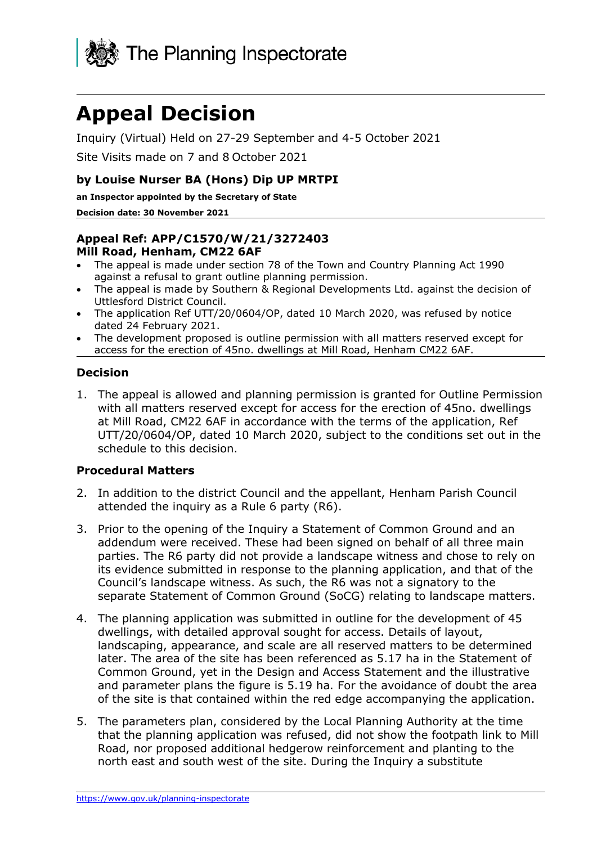

# **Appeal Decision**

Inquiry (Virtual) Held on 27-29 September and 4-5 October 2021

Site Visits made on 7 and 8 October 2021

## **by Louise Nurser BA (Hons) Dip UP MRTPI**

**an Inspector appointed by the Secretary of State** 

#### **Decision date: 30 November 2021**

#### **Appeal Ref: APP/C1570/W/21/3272403 Mill Road, Henham, CM22 6AF**

- The appeal is made under section 78 of the Town and Country Planning Act 1990 against a refusal to grant outline planning permission.
- The appeal is made by Southern & Regional Developments Ltd. against the decision of Uttlesford District Council.
- The application Ref UTT/20/0604/OP, dated 10 March 2020, was refused by notice dated 24 February 2021.
- The development proposed is outline permission with all matters reserved except for access for the erection of 45no. dwellings at Mill Road, Henham CM22 6AF.

## **Decision**

1. The appeal is allowed and planning permission is granted for Outline Permission with all matters reserved except for access for the erection of 45no. dwellings at Mill Road, CM22 6AF in accordance with the terms of the application, Ref UTT/20/0604/OP, dated 10 March 2020, subject to the conditions set out in the schedule to this decision.

#### **Procedural Matters**

- 2. In addition to the district Council and the appellant, Henham Parish Council attended the inquiry as a Rule 6 party (R6).
- 3. Prior to the opening of the Inquiry a Statement of Common Ground and an addendum were received. These had been signed on behalf of all three main parties. The R6 party did not provide a landscape witness and chose to rely on its evidence submitted in response to the planning application, and that of the Council's landscape witness. As such, the R6 was not a signatory to the separate Statement of Common Ground (SoCG) relating to landscape matters.
- 4. The planning application was submitted in outline for the development of 45 dwellings, with detailed approval sought for access. Details of layout, landscaping, appearance, and scale are all reserved matters to be determined later. The area of the site has been referenced as 5.17 ha in the Statement of Common Ground, yet in the Design and Access Statement and the illustrative and parameter plans the figure is 5.19 ha. For the avoidance of doubt the area of the site is that contained within the red edge accompanying the application.
- 5. The parameters plan, considered by the Local Planning Authority at the time that the planning application was refused, did not show the footpath link to Mill Road, nor proposed additional hedgerow reinforcement and planting to the north east and south west of the site. During the Inquiry a substitute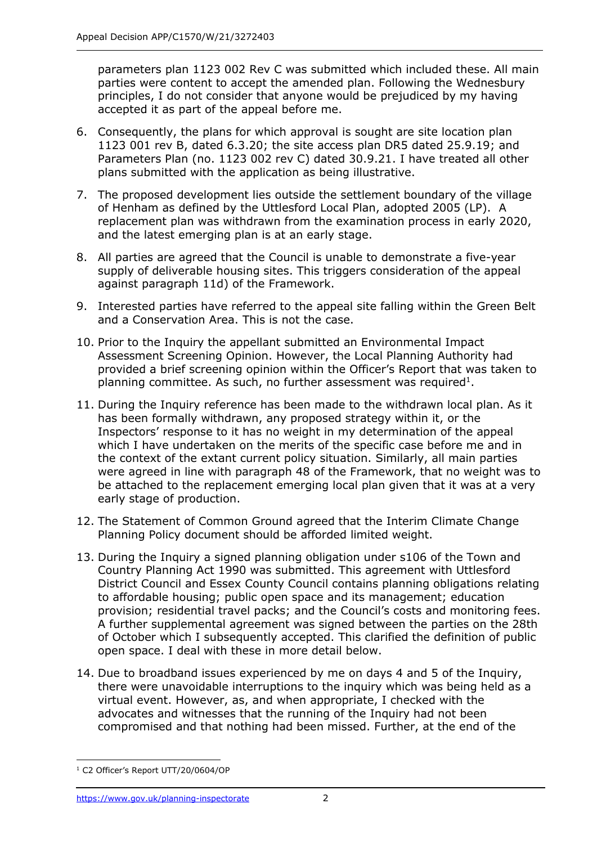parameters plan 1123 002 Rev C was submitted which included these. All main parties were content to accept the amended plan. Following the Wednesbury principles, I do not consider that anyone would be prejudiced by my having accepted it as part of the appeal before me.

- 6. Consequently, the plans for which approval is sought are site location plan 1123 001 rev B, dated 6.3.20; the site access plan DR5 dated 25.9.19; and Parameters Plan (no. 1123 002 rev C) dated 30.9.21. I have treated all other plans submitted with the application as being illustrative.
- 7. The proposed development lies outside the settlement boundary of the village of Henham as defined by the Uttlesford Local Plan, adopted 2005 (LP). A replacement plan was withdrawn from the examination process in early 2020, and the latest emerging plan is at an early stage.
- 8. All parties are agreed that the Council is unable to demonstrate a five-year supply of deliverable housing sites. This triggers consideration of the appeal against paragraph 11d) of the Framework.
- 9. Interested parties have referred to the appeal site falling within the Green Belt and a Conservation Area. This is not the case.
- 10. Prior to the Inquiry the appellant submitted an Environmental Impact Assessment Screening Opinion. However, the Local Planning Authority had provided a brief screening opinion within the Officer's Report that was taken to planning committee. As such, no further assessment was required<sup>1</sup>.
- 11. During the Inquiry reference has been made to the withdrawn local plan. As it has been formally withdrawn, any proposed strategy within it, or the Inspectors' response to it has no weight in my determination of the appeal which I have undertaken on the merits of the specific case before me and in the context of the extant current policy situation. Similarly, all main parties were agreed in line with paragraph 48 of the Framework, that no weight was to be attached to the replacement emerging local plan given that it was at a very early stage of production.
- 12. The Statement of Common Ground agreed that the Interim Climate Change Planning Policy document should be afforded limited weight.
- 13. During the Inquiry a signed planning obligation under s106 of the Town and Country Planning Act 1990 was submitted. This agreement with Uttlesford District Council and Essex County Council contains planning obligations relating to affordable housing; public open space and its management; education provision; residential travel packs; and the Council's costs and monitoring fees. A further supplemental agreement was signed between the parties on the 28th of October which I subsequently accepted. This clarified the definition of public open space. I deal with these in more detail below.
- 14. Due to broadband issues experienced by me on days 4 and 5 of the Inquiry, there were unavoidable interruptions to the inquiry which was being held as a virtual event. However, as, and when appropriate, I checked with the advocates and witnesses that the running of the Inquiry had not been compromised and that nothing had been missed. Further, at the end of the

<sup>&</sup>lt;sup>1</sup> C2 Officer's Report UTT/20/0604/OP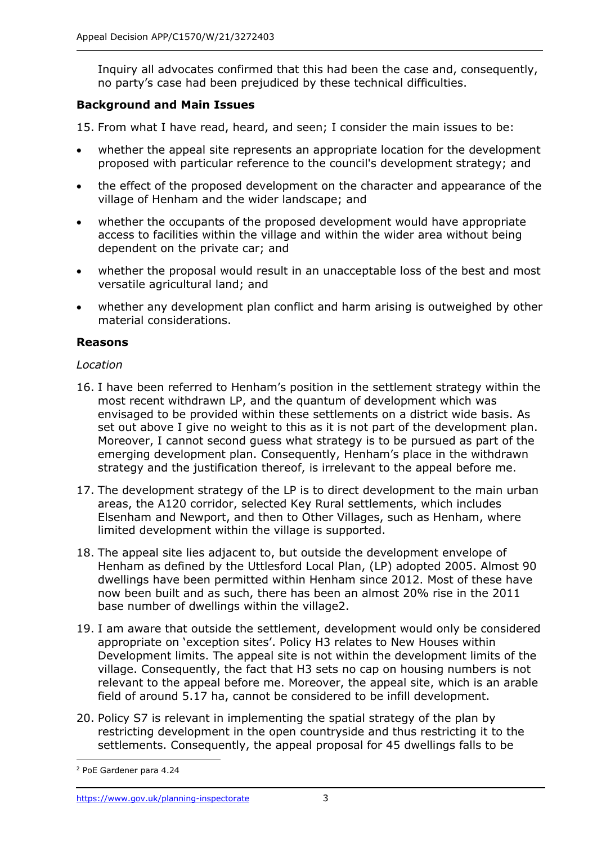Inquiry all advocates confirmed that this had been the case and, consequently, no party's case had been prejudiced by these technical difficulties.

## **Background and Main Issues**

15. From what I have read, heard, and seen; I consider the main issues to be:

- whether the appeal site represents an appropriate location for the development proposed with particular reference to the council's development strategy; and
- the effect of the proposed development on the character and appearance of the village of Henham and the wider landscape; and
- whether the occupants of the proposed development would have appropriate access to facilities within the village and within the wider area without being dependent on the private car; and
- whether the proposal would result in an unacceptable loss of the best and most versatile agricultural land; and
- whether any development plan conflict and harm arising is outweighed by other material considerations.

## **Reasons**

#### *Location*

- 16. I have been referred to Henham's position in the settlement strategy within the most recent withdrawn LP, and the quantum of development which was envisaged to be provided within these settlements on a district wide basis. As set out above I give no weight to this as it is not part of the development plan. Moreover, I cannot second guess what strategy is to be pursued as part of the emerging development plan. Consequently, Henham's place in the withdrawn strategy and the justification thereof, is irrelevant to the appeal before me.
- 17. The development strategy of the LP is to direct development to the main urban areas, the A120 corridor, selected Key Rural settlements, which includes Elsenham and Newport, and then to Other Villages, such as Henham, where limited development within the village is supported.
- 18. The appeal site lies adjacent to, but outside the development envelope of Henham as defined by the Uttlesford Local Plan, (LP) adopted 2005. Almost 90 dwellings have been permitted within Henham since 2012. Most of these have now been built and as such, there has been an almost 20% rise in the 2011 base number of dwellings within the village2.
- 19. I am aware that outside the settlement, development would only be considered appropriate on 'exception sites'. Policy H3 relates to New Houses within Development limits. The appeal site is not within the development limits of the village. Consequently, the fact that H3 sets no cap on housing numbers is not relevant to the appeal before me. Moreover, the appeal site, which is an arable field of around 5.17 ha, cannot be considered to be infill development.
- 20. Policy S7 is relevant in implementing the spatial strategy of the plan by restricting development in the open countryside and thus restricting it to the settlements. Consequently, the appeal proposal for 45 dwellings falls to be

<sup>2</sup> PoE Gardener para 4.24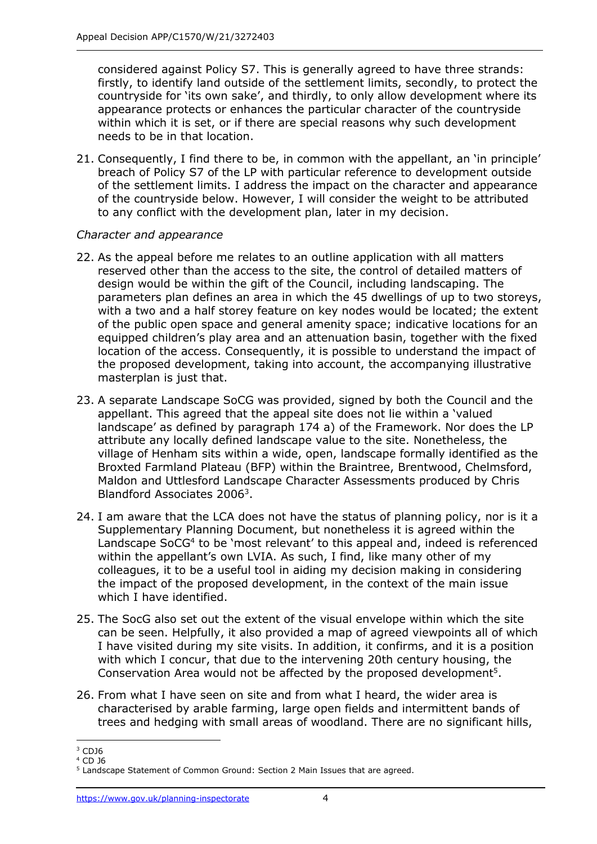considered against Policy S7. This is generally agreed to have three strands: firstly, to identify land outside of the settlement limits, secondly, to protect the countryside for 'its own sake', and thirdly, to only allow development where its appearance protects or enhances the particular character of the countryside within which it is set, or if there are special reasons why such development needs to be in that location.

21. Consequently, I find there to be, in common with the appellant, an 'in principle' breach of Policy S7 of the LP with particular reference to development outside of the settlement limits. I address the impact on the character and appearance of the countryside below. However, I will consider the weight to be attributed to any conflict with the development plan, later in my decision.

## *Character and appearance*

- 22. As the appeal before me relates to an outline application with all matters reserved other than the access to the site, the control of detailed matters of design would be within the gift of the Council, including landscaping. The parameters plan defines an area in which the 45 dwellings of up to two storeys, with a two and a half storey feature on key nodes would be located; the extent of the public open space and general amenity space; indicative locations for an equipped children's play area and an attenuation basin, together with the fixed location of the access. Consequently, it is possible to understand the impact of the proposed development, taking into account, the accompanying illustrative masterplan is just that.
- 23. A separate Landscape SoCG was provided, signed by both the Council and the appellant. This agreed that the appeal site does not lie within a 'valued landscape' as defined by paragraph 174 a) of the Framework. Nor does the LP attribute any locally defined landscape value to the site. Nonetheless, the village of Henham sits within a wide, open, landscape formally identified as the Broxted Farmland Plateau (BFP) within the Braintree, Brentwood, Chelmsford, Maldon and Uttlesford Landscape Character Assessments produced by Chris Blandford Associates 2006<sup>3</sup>.
- 24. I am aware that the LCA does not have the status of planning policy, nor is it a Supplementary Planning Document, but nonetheless it is agreed within the Landscape SoCG<sup>4</sup> to be 'most relevant' to this appeal and, indeed is referenced within the appellant's own LVIA. As such, I find, like many other of my colleagues, it to be a useful tool in aiding my decision making in considering the impact of the proposed development, in the context of the main issue which I have identified.
- 25. The SocG also set out the extent of the visual envelope within which the site can be seen. Helpfully, it also provided a map of agreed viewpoints all of which I have visited during my site visits. In addition, it confirms, and it is a position with which I concur, that due to the intervening 20th century housing, the Conservation Area would not be affected by the proposed development<sup>5</sup>.
- 26. From what I have seen on site and from what I heard, the wider area is characterised by arable farming, large open fields and intermittent bands of trees and hedging with small areas of woodland. There are no significant hills,

<sup>3</sup> CDJ6

<sup>4</sup> CD J6

<sup>5</sup> Landscape Statement of Common Ground: Section 2 Main Issues that are agreed.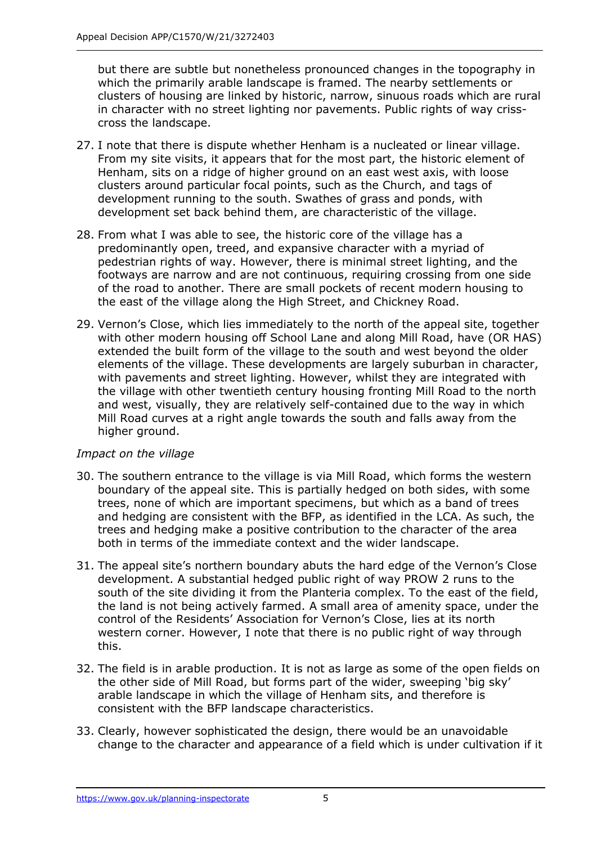but there are subtle but nonetheless pronounced changes in the topography in which the primarily arable landscape is framed. The nearby settlements or clusters of housing are linked by historic, narrow, sinuous roads which are rural in character with no street lighting nor pavements. Public rights of way crisscross the landscape.

- 27. I note that there is dispute whether Henham is a nucleated or linear village. From my site visits, it appears that for the most part, the historic element of Henham, sits on a ridge of higher ground on an east west axis, with loose clusters around particular focal points, such as the Church, and tags of development running to the south. Swathes of grass and ponds, with development set back behind them, are characteristic of the village.
- 28. From what I was able to see, the historic core of the village has a predominantly open, treed, and expansive character with a myriad of pedestrian rights of way. However, there is minimal street lighting, and the footways are narrow and are not continuous, requiring crossing from one side of the road to another. There are small pockets of recent modern housing to the east of the village along the High Street, and Chickney Road.
- 29. Vernon's Close, which lies immediately to the north of the appeal site, together with other modern housing off School Lane and along Mill Road, have (OR HAS) extended the built form of the village to the south and west beyond the older elements of the village. These developments are largely suburban in character, with pavements and street lighting. However, whilst they are integrated with the village with other twentieth century housing fronting Mill Road to the north and west, visually, they are relatively self-contained due to the way in which Mill Road curves at a right angle towards the south and falls away from the higher ground.

#### *Impact on the village*

- 30. The southern entrance to the village is via Mill Road, which forms the western boundary of the appeal site. This is partially hedged on both sides, with some trees, none of which are important specimens, but which as a band of trees and hedging are consistent with the BFP, as identified in the LCA. As such, the trees and hedging make a positive contribution to the character of the area both in terms of the immediate context and the wider landscape.
- 31. The appeal site's northern boundary abuts the hard edge of the Vernon's Close development. A substantial hedged public right of way PROW 2 runs to the south of the site dividing it from the Planteria complex. To the east of the field, the land is not being actively farmed. A small area of amenity space, under the control of the Residents' Association for Vernon's Close, lies at its north western corner. However, I note that there is no public right of way through this.
- 32. The field is in arable production. It is not as large as some of the open fields on the other side of Mill Road, but forms part of the wider, sweeping 'big sky' arable landscape in which the village of Henham sits, and therefore is consistent with the BFP landscape characteristics.
- 33. Clearly, however sophisticated the design, there would be an unavoidable change to the character and appearance of a field which is under cultivation if it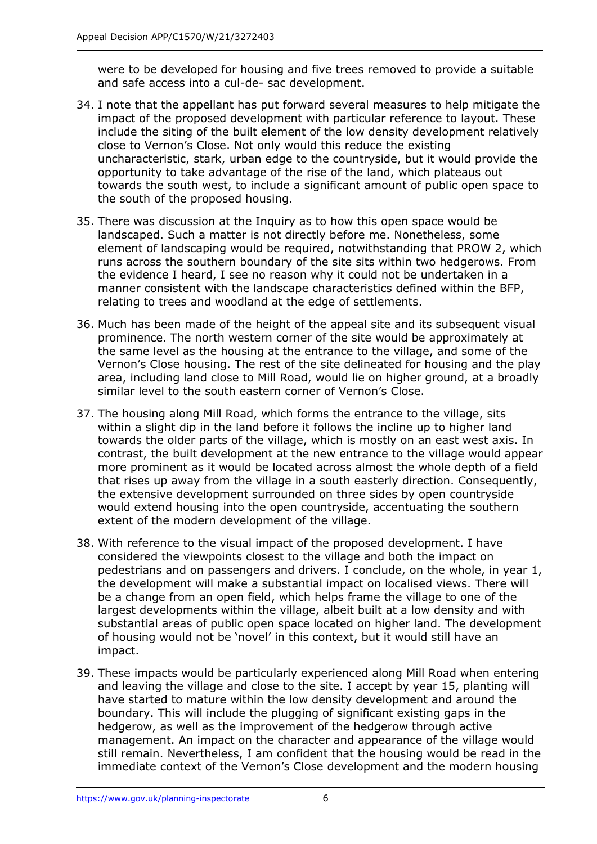were to be developed for housing and five trees removed to provide a suitable and safe access into a cul-de- sac development.

- 34. I note that the appellant has put forward several measures to help mitigate the impact of the proposed development with particular reference to layout. These include the siting of the built element of the low density development relatively close to Vernon's Close. Not only would this reduce the existing uncharacteristic, stark, urban edge to the countryside, but it would provide the opportunity to take advantage of the rise of the land, which plateaus out towards the south west, to include a significant amount of public open space to the south of the proposed housing.
- 35. There was discussion at the Inquiry as to how this open space would be landscaped. Such a matter is not directly before me. Nonetheless, some element of landscaping would be required, notwithstanding that PROW 2, which runs across the southern boundary of the site sits within two hedgerows. From the evidence I heard, I see no reason why it could not be undertaken in a manner consistent with the landscape characteristics defined within the BFP, relating to trees and woodland at the edge of settlements.
- 36. Much has been made of the height of the appeal site and its subsequent visual prominence. The north western corner of the site would be approximately at the same level as the housing at the entrance to the village, and some of the Vernon's Close housing. The rest of the site delineated for housing and the play area, including land close to Mill Road, would lie on higher ground, at a broadly similar level to the south eastern corner of Vernon's Close.
- 37. The housing along Mill Road, which forms the entrance to the village, sits within a slight dip in the land before it follows the incline up to higher land towards the older parts of the village, which is mostly on an east west axis. In contrast, the built development at the new entrance to the village would appear more prominent as it would be located across almost the whole depth of a field that rises up away from the village in a south easterly direction. Consequently, the extensive development surrounded on three sides by open countryside would extend housing into the open countryside, accentuating the southern extent of the modern development of the village.
- 38. With reference to the visual impact of the proposed development. I have considered the viewpoints closest to the village and both the impact on pedestrians and on passengers and drivers. I conclude, on the whole, in year 1, the development will make a substantial impact on localised views. There will be a change from an open field, which helps frame the village to one of the largest developments within the village, albeit built at a low density and with substantial areas of public open space located on higher land. The development of housing would not be 'novel' in this context, but it would still have an impact.
- 39. These impacts would be particularly experienced along Mill Road when entering and leaving the village and close to the site. I accept by year 15, planting will have started to mature within the low density development and around the boundary. This will include the plugging of significant existing gaps in the hedgerow, as well as the improvement of the hedgerow through active management. An impact on the character and appearance of the village would still remain. Nevertheless, I am confident that the housing would be read in the immediate context of the Vernon's Close development and the modern housing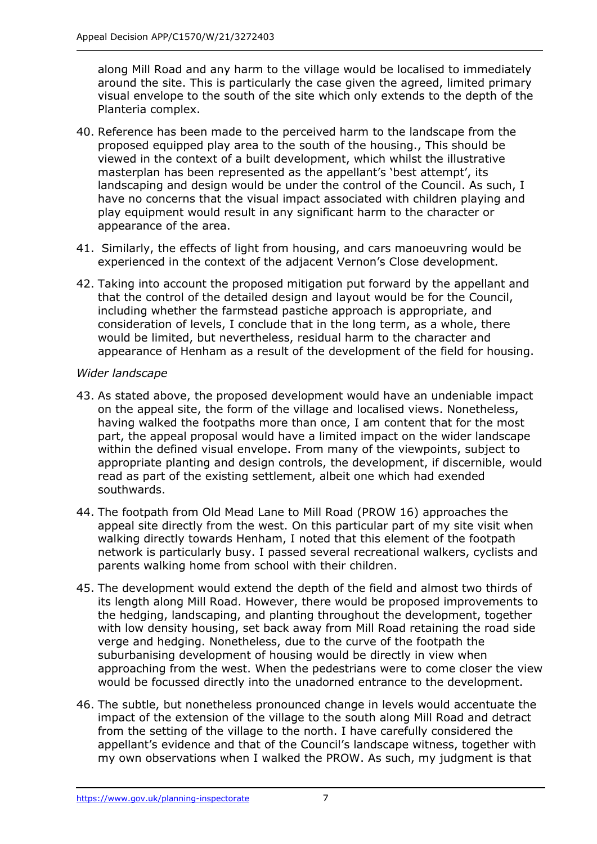along Mill Road and any harm to the village would be localised to immediately around the site. This is particularly the case given the agreed, limited primary visual envelope to the south of the site which only extends to the depth of the Planteria complex.

- 40. Reference has been made to the perceived harm to the landscape from the proposed equipped play area to the south of the housing., This should be viewed in the context of a built development, which whilst the illustrative masterplan has been represented as the appellant's 'best attempt', its landscaping and design would be under the control of the Council. As such, I have no concerns that the visual impact associated with children playing and play equipment would result in any significant harm to the character or appearance of the area.
- 41. Similarly, the effects of light from housing, and cars manoeuvring would be experienced in the context of the adjacent Vernon's Close development.
- 42. Taking into account the proposed mitigation put forward by the appellant and that the control of the detailed design and layout would be for the Council, including whether the farmstead pastiche approach is appropriate, and consideration of levels, I conclude that in the long term, as a whole, there would be limited, but nevertheless, residual harm to the character and appearance of Henham as a result of the development of the field for housing.

#### *Wider landscape*

- 43. As stated above, the proposed development would have an undeniable impact on the appeal site, the form of the village and localised views. Nonetheless, having walked the footpaths more than once, I am content that for the most part, the appeal proposal would have a limited impact on the wider landscape within the defined visual envelope. From many of the viewpoints, subject to appropriate planting and design controls, the development, if discernible, would read as part of the existing settlement, albeit one which had exended southwards.
- 44. The footpath from Old Mead Lane to Mill Road (PROW 16) approaches the appeal site directly from the west. On this particular part of my site visit when walking directly towards Henham, I noted that this element of the footpath network is particularly busy. I passed several recreational walkers, cyclists and parents walking home from school with their children.
- 45. The development would extend the depth of the field and almost two thirds of its length along Mill Road. However, there would be proposed improvements to the hedging, landscaping, and planting throughout the development, together with low density housing, set back away from Mill Road retaining the road side verge and hedging. Nonetheless, due to the curve of the footpath the suburbanising development of housing would be directly in view when approaching from the west. When the pedestrians were to come closer the view would be focussed directly into the unadorned entrance to the development.
- 46. The subtle, but nonetheless pronounced change in levels would accentuate the impact of the extension of the village to the south along Mill Road and detract from the setting of the village to the north. I have carefully considered the appellant's evidence and that of the Council's landscape witness, together with my own observations when I walked the PROW. As such, my judgment is that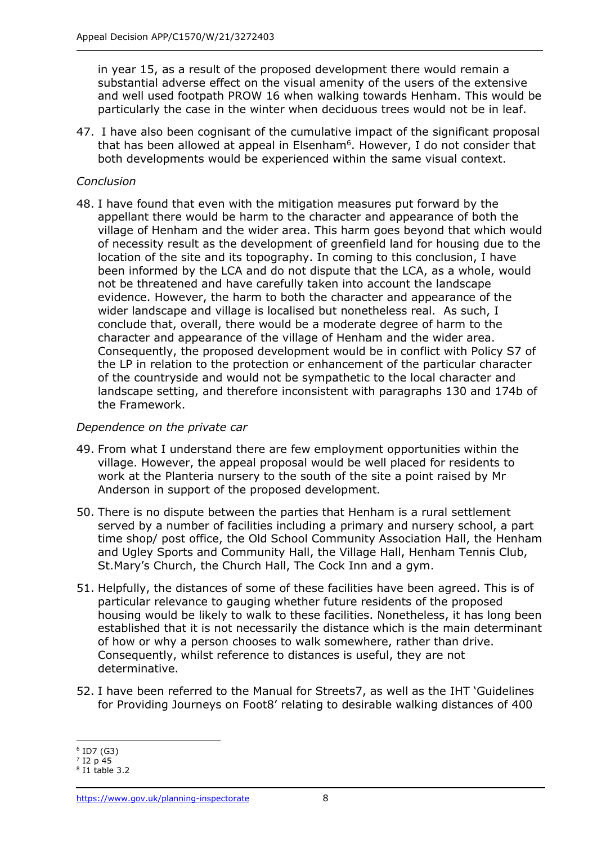in year 15, as a result of the proposed development there would remain a substantial adverse effect on the visual amenity of the users of the extensive and well used footpath PROW 16 when walking towards Henham. This would be particularly the case in the winter when deciduous trees would not be in leaf.

47. I have also been cognisant of the cumulative impact of the significant proposal that has been allowed at appeal in Elsenham<sup>6</sup>. However, I do not consider that both developments would be experienced within the same visual context.

#### *Conclusion*

48. I have found that even with the mitigation measures put forward by the appellant there would be harm to the character and appearance of both the village of Henham and the wider area. This harm goes beyond that which would of necessity result as the development of greenfield land for housing due to the location of the site and its topography. In coming to this conclusion, I have been informed by the LCA and do not dispute that the LCA, as a whole, would not be threatened and have carefully taken into account the landscape evidence. However, the harm to both the character and appearance of the wider landscape and village is localised but nonetheless real. As such, I conclude that, overall, there would be a moderate degree of harm to the character and appearance of the village of Henham and the wider area. Consequently, the proposed development would be in conflict with Policy S7 of the LP in relation to the protection or enhancement of the particular character of the countryside and would not be sympathetic to the local character and landscape setting, and therefore inconsistent with paragraphs 130 and 174b of the Framework.

#### *Dependence on the private car*

- 49. From what I understand there are few employment opportunities within the village. However, the appeal proposal would be well placed for residents to work at the Planteria nursery to the south of the site a point raised by Mr Anderson in support of the proposed development.
- 50. There is no dispute between the parties that Henham is a rural settlement served by a number of facilities including a primary and nursery school, a part time shop/ post office, the Old School Community Association Hall, the Henham and Ugley Sports and Community Hall, the Village Hall, Henham Tennis Club, St.Mary's Church, the Church Hall, The Cock Inn and a gym.
- 51. Helpfully, the distances of some of these facilities have been agreed. This is of particular relevance to gauging whether future residents of the proposed housing would be likely to walk to these facilities. Nonetheless, it has long been established that it is not necessarily the distance which is the main determinant of how or why a person chooses to walk somewhere, rather than drive. Consequently, whilst reference to distances is useful, they are not determinative.
- 52. I have been referred to the Manual for Streets7, as well as the IHT 'Guidelines for Providing Journeys on Foot8' relating to desirable walking distances of 400

<sup>6</sup> ID7 (G3)

<sup>7</sup> I2 p 45

<sup>8</sup> I1 table 3.2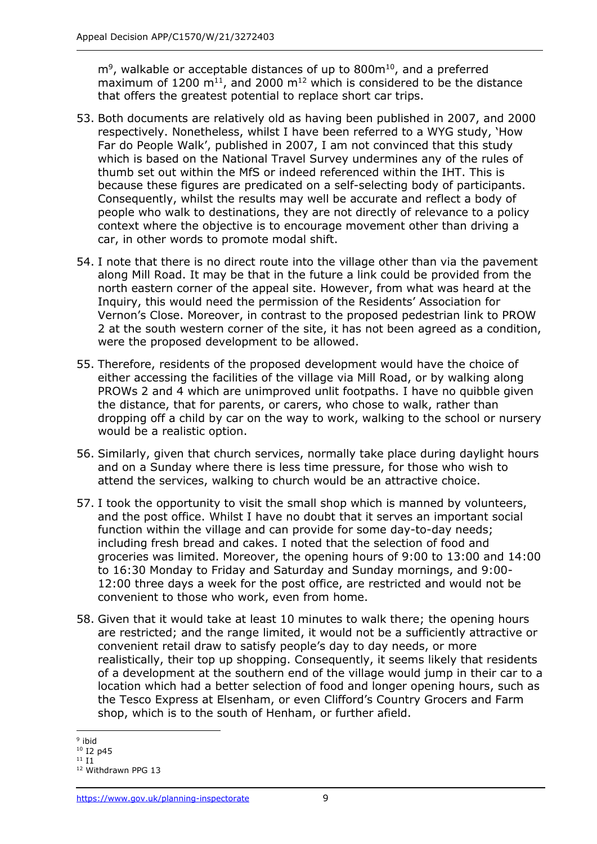$\text{m}^9$ , walkable or acceptable distances of up to 800 $\text{m}^{10}$ , and a preferred maximum of 1200  $m^{11}$ , and 2000  $m^{12}$  which is considered to be the distance that offers the greatest potential to replace short car trips.

- 53. Both documents are relatively old as having been published in 2007, and 2000 respectively. Nonetheless, whilst I have been referred to a WYG study, 'How Far do People Walk', published in 2007, I am not convinced that this study which is based on the National Travel Survey undermines any of the rules of thumb set out within the MfS or indeed referenced within the IHT. This is because these figures are predicated on a self-selecting body of participants. Consequently, whilst the results may well be accurate and reflect a body of people who walk to destinations, they are not directly of relevance to a policy context where the objective is to encourage movement other than driving a car, in other words to promote modal shift.
- 54. I note that there is no direct route into the village other than via the pavement along Mill Road. It may be that in the future a link could be provided from the north eastern corner of the appeal site. However, from what was heard at the Inquiry, this would need the permission of the Residents' Association for Vernon's Close. Moreover, in contrast to the proposed pedestrian link to PROW 2 at the south western corner of the site, it has not been agreed as a condition, were the proposed development to be allowed.
- 55. Therefore, residents of the proposed development would have the choice of either accessing the facilities of the village via Mill Road, or by walking along PROWs 2 and 4 which are unimproved unlit footpaths. I have no quibble given the distance, that for parents, or carers, who chose to walk, rather than dropping off a child by car on the way to work, walking to the school or nursery would be a realistic option.
- 56. Similarly, given that church services, normally take place during daylight hours and on a Sunday where there is less time pressure, for those who wish to attend the services, walking to church would be an attractive choice.
- 57. I took the opportunity to visit the small shop which is manned by volunteers, and the post office. Whilst I have no doubt that it serves an important social function within the village and can provide for some day-to-day needs; including fresh bread and cakes. I noted that the selection of food and groceries was limited. Moreover, the opening hours of 9:00 to 13:00 and 14:00 to 16:30 Monday to Friday and Saturday and Sunday mornings, and 9:00- 12:00 three days a week for the post office, are restricted and would not be convenient to those who work, even from home.
- 58. Given that it would take at least 10 minutes to walk there; the opening hours are restricted; and the range limited, it would not be a sufficiently attractive or convenient retail draw to satisfy people's day to day needs, or more realistically, their top up shopping. Consequently, it seems likely that residents of a development at the southern end of the village would jump in their car to a location which had a better selection of food and longer opening hours, such as the Tesco Express at Elsenham, or even Clifford's Country Grocers and Farm shop, which is to the south of Henham, or further afield.

<sup>&</sup>lt;sup>9</sup> ibid  $10$  I2 p45

<sup>11</sup> I1

<sup>12</sup> Withdrawn PPG 13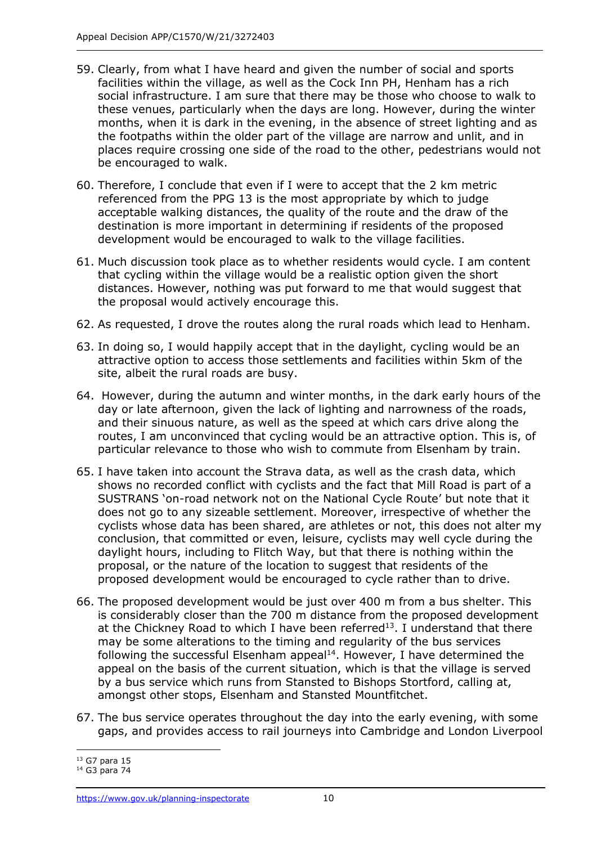- 59. Clearly, from what I have heard and given the number of social and sports facilities within the village, as well as the Cock Inn PH, Henham has a rich social infrastructure. I am sure that there may be those who choose to walk to these venues, particularly when the days are long. However, during the winter months, when it is dark in the evening, in the absence of street lighting and as the footpaths within the older part of the village are narrow and unlit, and in places require crossing one side of the road to the other, pedestrians would not be encouraged to walk.
- 60. Therefore, I conclude that even if I were to accept that the 2 km metric referenced from the PPG 13 is the most appropriate by which to judge acceptable walking distances, the quality of the route and the draw of the destination is more important in determining if residents of the proposed development would be encouraged to walk to the village facilities.
- 61. Much discussion took place as to whether residents would cycle. I am content that cycling within the village would be a realistic option given the short distances. However, nothing was put forward to me that would suggest that the proposal would actively encourage this.
- 62. As requested, I drove the routes along the rural roads which lead to Henham.
- 63. In doing so, I would happily accept that in the daylight, cycling would be an attractive option to access those settlements and facilities within 5km of the site, albeit the rural roads are busy.
- 64. However, during the autumn and winter months, in the dark early hours of the day or late afternoon, given the lack of lighting and narrowness of the roads, and their sinuous nature, as well as the speed at which cars drive along the routes, I am unconvinced that cycling would be an attractive option. This is, of particular relevance to those who wish to commute from Elsenham by train.
- 65. I have taken into account the Strava data, as well as the crash data, which shows no recorded conflict with cyclists and the fact that Mill Road is part of a SUSTRANS 'on-road network not on the National Cycle Route' but note that it does not go to any sizeable settlement. Moreover, irrespective of whether the cyclists whose data has been shared, are athletes or not, this does not alter my conclusion, that committed or even, leisure, cyclists may well cycle during the daylight hours, including to Flitch Way, but that there is nothing within the proposal, or the nature of the location to suggest that residents of the proposed development would be encouraged to cycle rather than to drive.
- 66. The proposed development would be just over 400 m from a bus shelter. This is considerably closer than the 700 m distance from the proposed development at the Chickney Road to which I have been referred<sup>13</sup>. I understand that there may be some alterations to the timing and regularity of the bus services following the successful Elsenham appeal $14$ . However, I have determined the appeal on the basis of the current situation, which is that the village is served by a bus service which runs from Stansted to Bishops Stortford, calling at, amongst other stops, Elsenham and Stansted Mountfitchet.
- 67. The bus service operates throughout the day into the early evening, with some gaps, and provides access to rail journeys into Cambridge and London Liverpool

<sup>13</sup> G7 para 15

<sup>14</sup> G3 para 74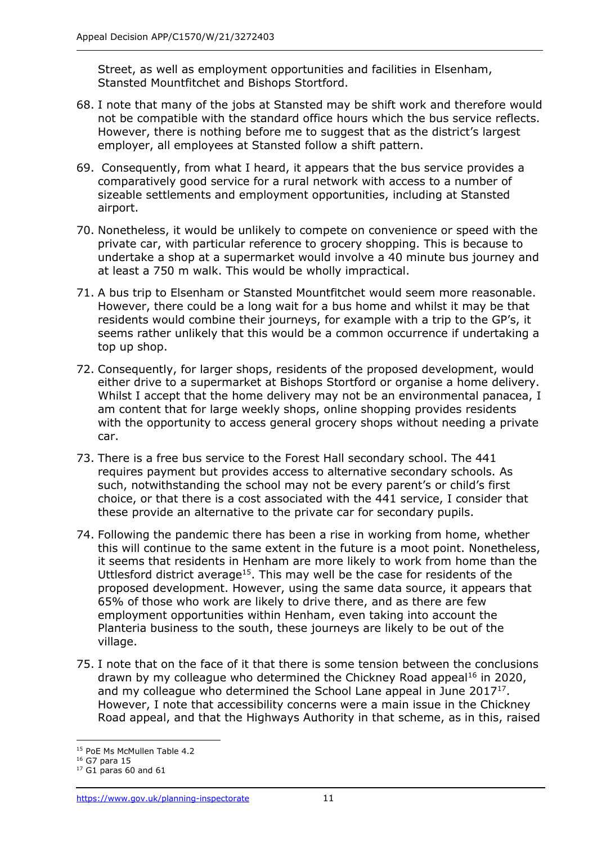Street, as well as employment opportunities and facilities in Elsenham, Stansted Mountfitchet and Bishops Stortford.

- 68. I note that many of the jobs at Stansted may be shift work and therefore would not be compatible with the standard office hours which the bus service reflects. However, there is nothing before me to suggest that as the district's largest employer, all employees at Stansted follow a shift pattern.
- 69. Consequently, from what I heard, it appears that the bus service provides a comparatively good service for a rural network with access to a number of sizeable settlements and employment opportunities, including at Stansted airport.
- 70. Nonetheless, it would be unlikely to compete on convenience or speed with the private car, with particular reference to grocery shopping. This is because to undertake a shop at a supermarket would involve a 40 minute bus journey and at least a 750 m walk. This would be wholly impractical.
- 71. A bus trip to Elsenham or Stansted Mountfitchet would seem more reasonable. However, there could be a long wait for a bus home and whilst it may be that residents would combine their journeys, for example with a trip to the GP's, it seems rather unlikely that this would be a common occurrence if undertaking a top up shop.
- 72. Consequently, for larger shops, residents of the proposed development, would either drive to a supermarket at Bishops Stortford or organise a home delivery. Whilst I accept that the home delivery may not be an environmental panacea, I am content that for large weekly shops, online shopping provides residents with the opportunity to access general grocery shops without needing a private car.
- 73. There is a free bus service to the Forest Hall secondary school. The 441 requires payment but provides access to alternative secondary schools. As such, notwithstanding the school may not be every parent's or child's first choice, or that there is a cost associated with the 441 service, I consider that these provide an alternative to the private car for secondary pupils.
- 74. Following the pandemic there has been a rise in working from home, whether this will continue to the same extent in the future is a moot point. Nonetheless, it seems that residents in Henham are more likely to work from home than the Uttlesford district average<sup>15</sup>. This may well be the case for residents of the proposed development. However, using the same data source, it appears that 65% of those who work are likely to drive there, and as there are few employment opportunities within Henham, even taking into account the Planteria business to the south, these journeys are likely to be out of the village.
- 75. I note that on the face of it that there is some tension between the conclusions drawn by my colleague who determined the Chickney Road appeal<sup>16</sup> in 2020, and my colleague who determined the School Lane appeal in June  $2017^{17}$ . However, I note that accessibility concerns were a main issue in the Chickney Road appeal, and that the Highways Authority in that scheme, as in this, raised

<sup>&</sup>lt;sup>15</sup> PoE Ms McMullen Table 4.2

<sup>16</sup> G7 para 15

 $17$  G1 paras 60 and 61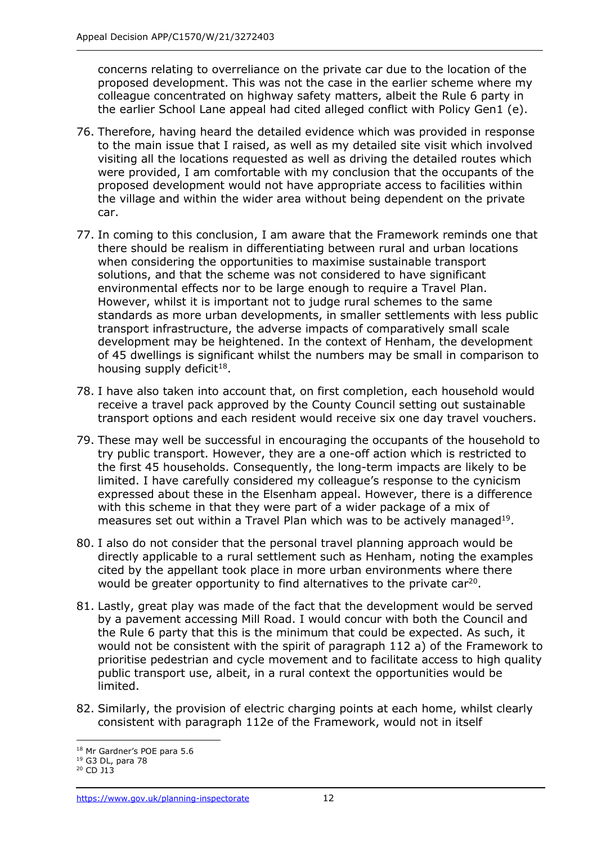concerns relating to overreliance on the private car due to the location of the proposed development. This was not the case in the earlier scheme where my colleague concentrated on highway safety matters, albeit the Rule 6 party in the earlier School Lane appeal had cited alleged conflict with Policy Gen1 (e).

- 76. Therefore, having heard the detailed evidence which was provided in response to the main issue that I raised, as well as my detailed site visit which involved visiting all the locations requested as well as driving the detailed routes which were provided, I am comfortable with my conclusion that the occupants of the proposed development would not have appropriate access to facilities within the village and within the wider area without being dependent on the private car.
- 77. In coming to this conclusion, I am aware that the Framework reminds one that there should be realism in differentiating between rural and urban locations when considering the opportunities to maximise sustainable transport solutions, and that the scheme was not considered to have significant environmental effects nor to be large enough to require a Travel Plan. However, whilst it is important not to judge rural schemes to the same standards as more urban developments, in smaller settlements with less public transport infrastructure, the adverse impacts of comparatively small scale development may be heightened. In the context of Henham, the development of 45 dwellings is significant whilst the numbers may be small in comparison to housing supply deficit<sup>18</sup>.
- 78. I have also taken into account that, on first completion, each household would receive a travel pack approved by the County Council setting out sustainable transport options and each resident would receive six one day travel vouchers.
- 79. These may well be successful in encouraging the occupants of the household to try public transport. However, they are a one-off action which is restricted to the first 45 households. Consequently, the long-term impacts are likely to be limited. I have carefully considered my colleague's response to the cynicism expressed about these in the Elsenham appeal. However, there is a difference with this scheme in that they were part of a wider package of a mix of measures set out within a Travel Plan which was to be actively managed $^{19}$ .
- 80. I also do not consider that the personal travel planning approach would be directly applicable to a rural settlement such as Henham, noting the examples cited by the appellant took place in more urban environments where there would be greater opportunity to find alternatives to the private car<sup>20</sup>.
- 81. Lastly, great play was made of the fact that the development would be served by a pavement accessing Mill Road. I would concur with both the Council and the Rule 6 party that this is the minimum that could be expected. As such, it would not be consistent with the spirit of paragraph 112 a) of the Framework to prioritise pedestrian and cycle movement and to facilitate access to high quality public transport use, albeit, in a rural context the opportunities would be limited.
- 82. Similarly, the provision of electric charging points at each home, whilst clearly consistent with paragraph 112e of the Framework, would not in itself

<sup>18</sup> Mr Gardner's POE para 5.6

<sup>19</sup> G3 DL, para 78

<sup>&</sup>lt;sup>20</sup> CD J13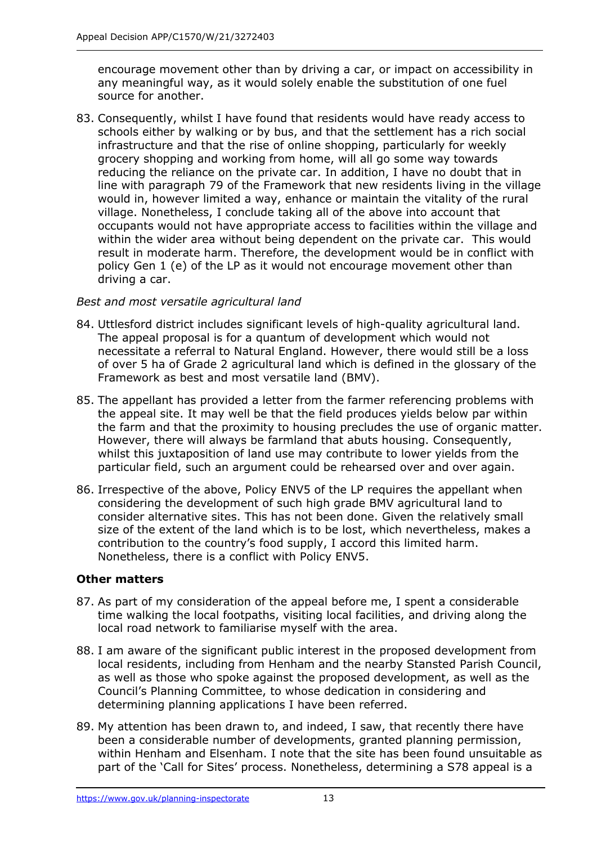encourage movement other than by driving a car, or impact on accessibility in any meaningful way, as it would solely enable the substitution of one fuel source for another.

83. Consequently, whilst I have found that residents would have ready access to schools either by walking or by bus, and that the settlement has a rich social infrastructure and that the rise of online shopping, particularly for weekly grocery shopping and working from home, will all go some way towards reducing the reliance on the private car. In addition, I have no doubt that in line with paragraph 79 of the Framework that new residents living in the village would in, however limited a way, enhance or maintain the vitality of the rural village. Nonetheless, I conclude taking all of the above into account that occupants would not have appropriate access to facilities within the village and within the wider area without being dependent on the private car. This would result in moderate harm. Therefore, the development would be in conflict with policy Gen 1 (e) of the LP as it would not encourage movement other than driving a car.

## *Best and most versatile agricultural land*

- 84. Uttlesford district includes significant levels of high-quality agricultural land. The appeal proposal is for a quantum of development which would not necessitate a referral to Natural England. However, there would still be a loss of over 5 ha of Grade 2 agricultural land which is defined in the glossary of the Framework as best and most versatile land (BMV).
- 85. The appellant has provided a letter from the farmer referencing problems with the appeal site. It may well be that the field produces yields below par within the farm and that the proximity to housing precludes the use of organic matter. However, there will always be farmland that abuts housing. Consequently, whilst this juxtaposition of land use may contribute to lower yields from the particular field, such an argument could be rehearsed over and over again.
- 86. Irrespective of the above, Policy ENV5 of the LP requires the appellant when considering the development of such high grade BMV agricultural land to consider alternative sites. This has not been done. Given the relatively small size of the extent of the land which is to be lost, which nevertheless, makes a contribution to the country's food supply, I accord this limited harm. Nonetheless, there is a conflict with Policy ENV5.

## **Other matters**

- 87. As part of my consideration of the appeal before me, I spent a considerable time walking the local footpaths, visiting local facilities, and driving along the local road network to familiarise myself with the area.
- 88. I am aware of the significant public interest in the proposed development from local residents, including from Henham and the nearby Stansted Parish Council, as well as those who spoke against the proposed development, as well as the Council's Planning Committee, to whose dedication in considering and determining planning applications I have been referred.
- 89. My attention has been drawn to, and indeed, I saw, that recently there have been a considerable number of developments, granted planning permission, within Henham and Elsenham. I note that the site has been found unsuitable as part of the 'Call for Sites' process. Nonetheless, determining a S78 appeal is a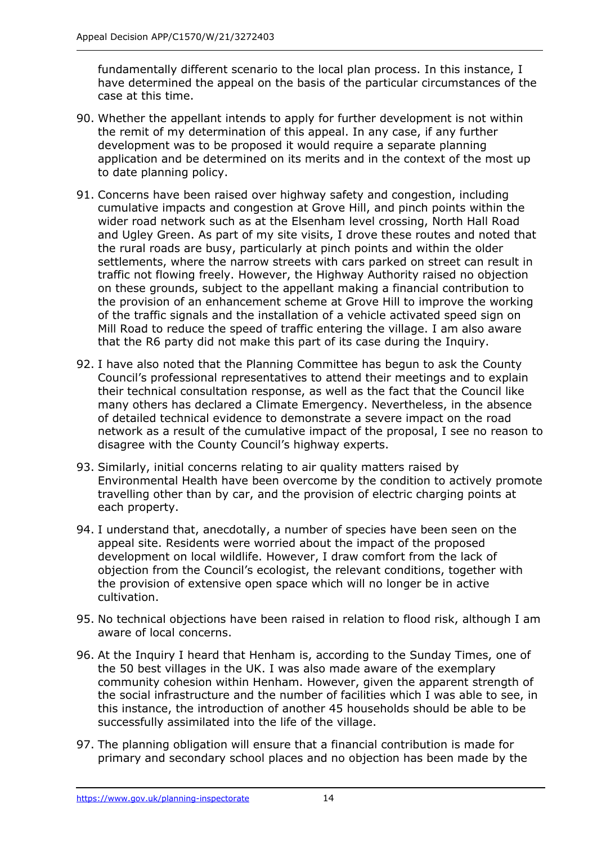fundamentally different scenario to the local plan process. In this instance, I have determined the appeal on the basis of the particular circumstances of the case at this time.

- 90. Whether the appellant intends to apply for further development is not within the remit of my determination of this appeal. In any case, if any further development was to be proposed it would require a separate planning application and be determined on its merits and in the context of the most up to date planning policy.
- 91. Concerns have been raised over highway safety and congestion, including cumulative impacts and congestion at Grove Hill, and pinch points within the wider road network such as at the Elsenham level crossing, North Hall Road and Ugley Green. As part of my site visits, I drove these routes and noted that the rural roads are busy, particularly at pinch points and within the older settlements, where the narrow streets with cars parked on street can result in traffic not flowing freely. However, the Highway Authority raised no objection on these grounds, subject to the appellant making a financial contribution to the provision of an enhancement scheme at Grove Hill to improve the working of the traffic signals and the installation of a vehicle activated speed sign on Mill Road to reduce the speed of traffic entering the village. I am also aware that the R6 party did not make this part of its case during the Inquiry.
- 92. I have also noted that the Planning Committee has begun to ask the County Council's professional representatives to attend their meetings and to explain their technical consultation response, as well as the fact that the Council like many others has declared a Climate Emergency. Nevertheless, in the absence of detailed technical evidence to demonstrate a severe impact on the road network as a result of the cumulative impact of the proposal, I see no reason to disagree with the County Council's highway experts.
- 93. Similarly, initial concerns relating to air quality matters raised by Environmental Health have been overcome by the condition to actively promote travelling other than by car, and the provision of electric charging points at each property.
- 94. I understand that, anecdotally, a number of species have been seen on the appeal site. Residents were worried about the impact of the proposed development on local wildlife. However, I draw comfort from the lack of objection from the Council's ecologist, the relevant conditions, together with the provision of extensive open space which will no longer be in active cultivation.
- 95. No technical objections have been raised in relation to flood risk, although I am aware of local concerns.
- 96. At the Inquiry I heard that Henham is, according to the Sunday Times, one of the 50 best villages in the UK. I was also made aware of the exemplary community cohesion within Henham. However, given the apparent strength of the social infrastructure and the number of facilities which I was able to see, in this instance, the introduction of another 45 households should be able to be successfully assimilated into the life of the village.
- 97. The planning obligation will ensure that a financial contribution is made for primary and secondary school places and no objection has been made by the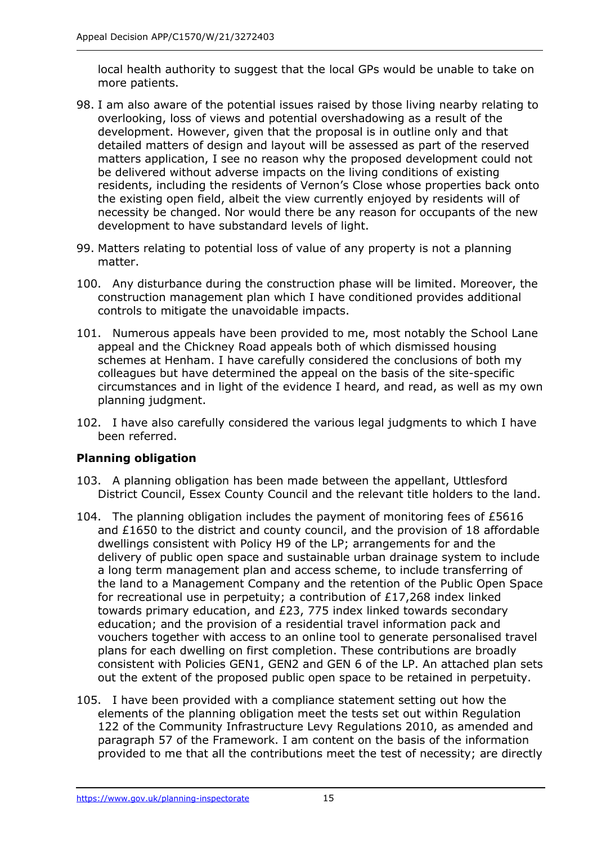local health authority to suggest that the local GPs would be unable to take on more patients.

- 98. I am also aware of the potential issues raised by those living nearby relating to overlooking, loss of views and potential overshadowing as a result of the development. However, given that the proposal is in outline only and that detailed matters of design and layout will be assessed as part of the reserved matters application, I see no reason why the proposed development could not be delivered without adverse impacts on the living conditions of existing residents, including the residents of Vernon's Close whose properties back onto the existing open field, albeit the view currently enjoyed by residents will of necessity be changed. Nor would there be any reason for occupants of the new development to have substandard levels of light.
- 99. Matters relating to potential loss of value of any property is not a planning matter.
- 100. Any disturbance during the construction phase will be limited. Moreover, the construction management plan which I have conditioned provides additional controls to mitigate the unavoidable impacts.
- 101. Numerous appeals have been provided to me, most notably the School Lane appeal and the Chickney Road appeals both of which dismissed housing schemes at Henham. I have carefully considered the conclusions of both my colleagues but have determined the appeal on the basis of the site-specific circumstances and in light of the evidence I heard, and read, as well as my own planning judgment.
- 102. I have also carefully considered the various legal judgments to which I have been referred.

## **Planning obligation**

- 103. A planning obligation has been made between the appellant, Uttlesford District Council, Essex County Council and the relevant title holders to the land.
- 104. The planning obligation includes the payment of monitoring fees of £5616 and £1650 to the district and county council, and the provision of 18 affordable dwellings consistent with Policy H9 of the LP; arrangements for and the delivery of public open space and sustainable urban drainage system to include a long term management plan and access scheme, to include transferring of the land to a Management Company and the retention of the Public Open Space for recreational use in perpetuity; a contribution of £17,268 index linked towards primary education, and £23, 775 index linked towards secondary education; and the provision of a residential travel information pack and vouchers together with access to an online tool to generate personalised travel plans for each dwelling on first completion. These contributions are broadly consistent with Policies GEN1, GEN2 and GEN 6 of the LP. An attached plan sets out the extent of the proposed public open space to be retained in perpetuity.
- 105. I have been provided with a compliance statement setting out how the elements of the planning obligation meet the tests set out within Regulation 122 of the Community Infrastructure Levy Regulations 2010, as amended and paragraph 57 of the Framework. I am content on the basis of the information provided to me that all the contributions meet the test of necessity; are directly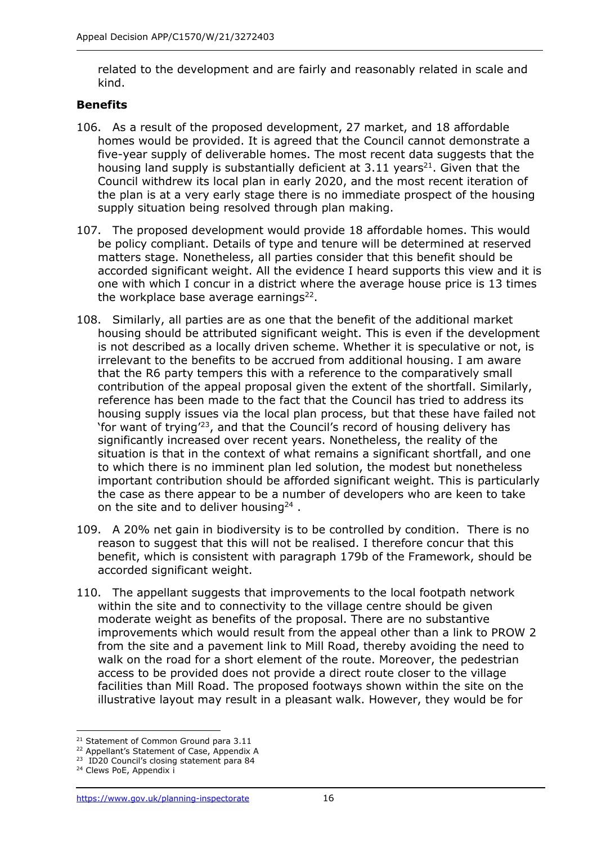related to the development and are fairly and reasonably related in scale and kind.

## **Benefits**

- 106. As a result of the proposed development, 27 market, and 18 affordable homes would be provided. It is agreed that the Council cannot demonstrate a five-year supply of deliverable homes. The most recent data suggests that the housing land supply is substantially deficient at  $3.11$  years<sup>21</sup>. Given that the Council withdrew its local plan in early 2020, and the most recent iteration of the plan is at a very early stage there is no immediate prospect of the housing supply situation being resolved through plan making.
- 107. The proposed development would provide 18 affordable homes. This would be policy compliant. Details of type and tenure will be determined at reserved matters stage. Nonetheless, all parties consider that this benefit should be accorded significant weight. All the evidence I heard supports this view and it is one with which I concur in a district where the average house price is 13 times the workplace base average earnings<sup>22</sup>.
- 108. Similarly, all parties are as one that the benefit of the additional market housing should be attributed significant weight. This is even if the development is not described as a locally driven scheme. Whether it is speculative or not, is irrelevant to the benefits to be accrued from additional housing. I am aware that the R6 party tempers this with a reference to the comparatively small contribution of the appeal proposal given the extent of the shortfall. Similarly, reference has been made to the fact that the Council has tried to address its housing supply issues via the local plan process, but that these have failed not 'for want of trying'<sup>23</sup>, and that the Council's record of housing delivery has significantly increased over recent years. Nonetheless, the reality of the situation is that in the context of what remains a significant shortfall, and one to which there is no imminent plan led solution, the modest but nonetheless important contribution should be afforded significant weight. This is particularly the case as there appear to be a number of developers who are keen to take on the site and to deliver housing<sup>24</sup>.
- 109. A 20% net gain in biodiversity is to be controlled by condition. There is no reason to suggest that this will not be realised. I therefore concur that this benefit, which is consistent with paragraph 179b of the Framework, should be accorded significant weight.
- 110. The appellant suggests that improvements to the local footpath network within the site and to connectivity to the village centre should be given moderate weight as benefits of the proposal. There are no substantive improvements which would result from the appeal other than a link to PROW 2 from the site and a pavement link to Mill Road, thereby avoiding the need to walk on the road for a short element of the route. Moreover, the pedestrian access to be provided does not provide a direct route closer to the village facilities than Mill Road. The proposed footways shown within the site on the illustrative layout may result in a pleasant walk. However, they would be for

<sup>&</sup>lt;sup>21</sup> Statement of Common Ground para 3.11

<sup>&</sup>lt;sup>22</sup> Appellant's Statement of Case, Appendix A

<sup>&</sup>lt;sup>23</sup> ID20 Council's closing statement para 84

<sup>&</sup>lt;sup>24</sup> Clews PoE, Appendix i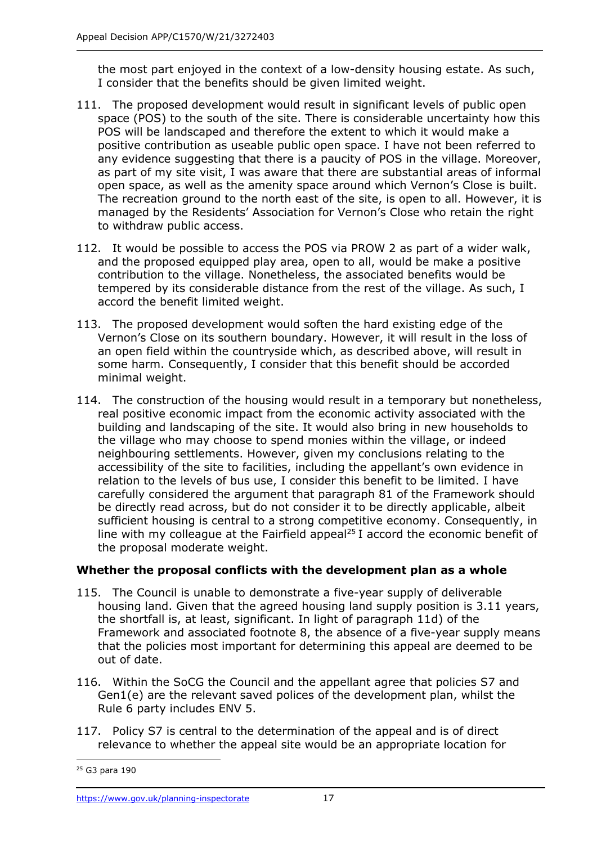the most part enjoyed in the context of a low-density housing estate. As such, I consider that the benefits should be given limited weight.

- 111. The proposed development would result in significant levels of public open space (POS) to the south of the site. There is considerable uncertainty how this POS will be landscaped and therefore the extent to which it would make a positive contribution as useable public open space. I have not been referred to any evidence suggesting that there is a paucity of POS in the village. Moreover, as part of my site visit, I was aware that there are substantial areas of informal open space, as well as the amenity space around which Vernon's Close is built. The recreation ground to the north east of the site, is open to all. However, it is managed by the Residents' Association for Vernon's Close who retain the right to withdraw public access.
- 112. It would be possible to access the POS via PROW 2 as part of a wider walk, and the proposed equipped play area, open to all, would be make a positive contribution to the village. Nonetheless, the associated benefits would be tempered by its considerable distance from the rest of the village. As such, I accord the benefit limited weight.
- 113. The proposed development would soften the hard existing edge of the Vernon's Close on its southern boundary. However, it will result in the loss of an open field within the countryside which, as described above, will result in some harm. Consequently, I consider that this benefit should be accorded minimal weight.
- 114. The construction of the housing would result in a temporary but nonetheless, real positive economic impact from the economic activity associated with the building and landscaping of the site. It would also bring in new households to the village who may choose to spend monies within the village, or indeed neighbouring settlements. However, given my conclusions relating to the accessibility of the site to facilities, including the appellant's own evidence in relation to the levels of bus use, I consider this benefit to be limited. I have carefully considered the argument that paragraph 81 of the Framework should be directly read across, but do not consider it to be directly applicable, albeit sufficient housing is central to a strong competitive economy. Consequently, in line with my colleague at the Fairfield appeal<sup>25</sup> I accord the economic benefit of the proposal moderate weight.

## **Whether the proposal conflicts with the development plan as a whole**

- 115. The Council is unable to demonstrate a five-year supply of deliverable housing land. Given that the agreed housing land supply position is 3.11 years, the shortfall is, at least, significant. In light of paragraph 11d) of the Framework and associated footnote 8, the absence of a five-year supply means that the policies most important for determining this appeal are deemed to be out of date.
- 116. Within the SoCG the Council and the appellant agree that policies S7 and Gen1(e) are the relevant saved polices of the development plan, whilst the Rule 6 party includes ENV 5.
- 117. Policy S7 is central to the determination of the appeal and is of direct relevance to whether the appeal site would be an appropriate location for

 $25$  G3 para 190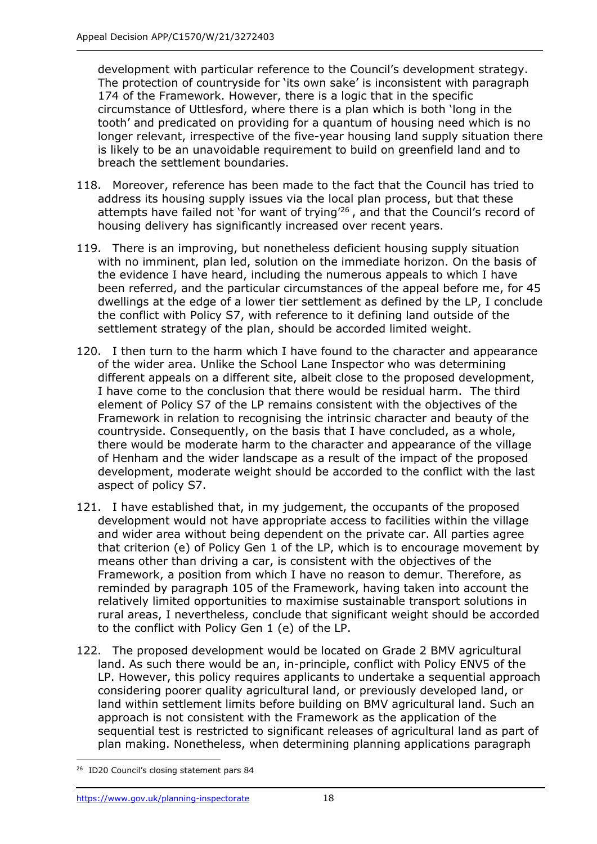development with particular reference to the Council's development strategy. The protection of countryside for 'its own sake' is inconsistent with paragraph 174 of the Framework. However, there is a logic that in the specific circumstance of Uttlesford, where there is a plan which is both 'long in the tooth' and predicated on providing for a quantum of housing need which is no longer relevant, irrespective of the five-year housing land supply situation there is likely to be an unavoidable requirement to build on greenfield land and to breach the settlement boundaries.

- 118. Moreover, reference has been made to the fact that the Council has tried to address its housing supply issues via the local plan process, but that these attempts have failed not 'for want of trying<sup> $26$ </sup>, and that the Council's record of housing delivery has significantly increased over recent years.
- 119. There is an improving, but nonetheless deficient housing supply situation with no imminent, plan led, solution on the immediate horizon. On the basis of the evidence I have heard, including the numerous appeals to which I have been referred, and the particular circumstances of the appeal before me, for 45 dwellings at the edge of a lower tier settlement as defined by the LP, I conclude the conflict with Policy S7, with reference to it defining land outside of the settlement strategy of the plan, should be accorded limited weight.
- 120. I then turn to the harm which I have found to the character and appearance of the wider area. Unlike the School Lane Inspector who was determining different appeals on a different site, albeit close to the proposed development, I have come to the conclusion that there would be residual harm. The third element of Policy S7 of the LP remains consistent with the objectives of the Framework in relation to recognising the intrinsic character and beauty of the countryside. Consequently, on the basis that I have concluded, as a whole, there would be moderate harm to the character and appearance of the village of Henham and the wider landscape as a result of the impact of the proposed development, moderate weight should be accorded to the conflict with the last aspect of policy S7.
- 121. I have established that, in my judgement, the occupants of the proposed development would not have appropriate access to facilities within the village and wider area without being dependent on the private car. All parties agree that criterion (e) of Policy Gen 1 of the LP, which is to encourage movement by means other than driving a car, is consistent with the objectives of the Framework, a position from which I have no reason to demur. Therefore, as reminded by paragraph 105 of the Framework, having taken into account the relatively limited opportunities to maximise sustainable transport solutions in rural areas, I nevertheless, conclude that significant weight should be accorded to the conflict with Policy Gen 1 (e) of the LP.
- 122. The proposed development would be located on Grade 2 BMV agricultural land. As such there would be an, in-principle, conflict with Policy ENV5 of the LP. However, this policy requires applicants to undertake a sequential approach considering poorer quality agricultural land, or previously developed land, or land within settlement limits before building on BMV agricultural land. Such an approach is not consistent with the Framework as the application of the sequential test is restricted to significant releases of agricultural land as part of plan making. Nonetheless, when determining planning applications paragraph

<sup>&</sup>lt;sup>26</sup> ID20 Council's closing statement pars 84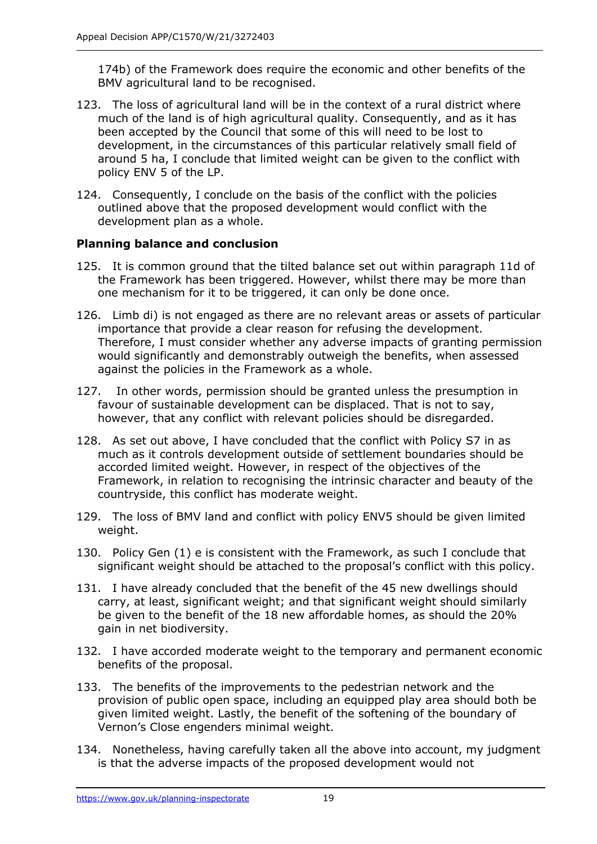174b) of the Framework does require the economic and other benefits of the BMV agricultural land to be recognised.

- 123. The loss of agricultural land will be in the context of a rural district where much of the land is of high agricultural quality. Consequently, and as it has been accepted by the Council that some of this will need to be lost to development, in the circumstances of this particular relatively small field of around 5 ha, I conclude that limited weight can be given to the conflict with policy ENV 5 of the LP.
- 124. Consequently, I conclude on the basis of the conflict with the policies outlined above that the proposed development would conflict with the development plan as a whole.

## **Planning balance and conclusion**

- 125. It is common ground that the tilted balance set out within paragraph 11d of the Framework has been triggered. However, whilst there may be more than one mechanism for it to be triggered, it can only be done once.
- 126. Limb di) is not engaged as there are no relevant areas or assets of particular importance that provide a clear reason for refusing the development. Therefore, I must consider whether any adverse impacts of granting permission would significantly and demonstrably outweigh the benefits, when assessed against the policies in the Framework as a whole.
- 127. In other words, permission should be granted unless the presumption in favour of sustainable development can be displaced. That is not to say, however, that any conflict with relevant policies should be disregarded.
- 128. As set out above, I have concluded that the conflict with Policy S7 in as much as it controls development outside of settlement boundaries should be accorded limited weight. However, in respect of the objectives of the Framework, in relation to recognising the intrinsic character and beauty of the countryside, this conflict has moderate weight.
- 129. The loss of BMV land and conflict with policy ENV5 should be given limited weight.
- 130. Policy Gen (1) e is consistent with the Framework, as such I conclude that significant weight should be attached to the proposal's conflict with this policy.
- 131. I have already concluded that the benefit of the 45 new dwellings should carry, at least, significant weight; and that significant weight should similarly be given to the benefit of the 18 new affordable homes, as should the 20% gain in net biodiversity.
- 132. I have accorded moderate weight to the temporary and permanent economic benefits of the proposal.
- 133. The benefits of the improvements to the pedestrian network and the provision of public open space, including an equipped play area should both be given limited weight. Lastly, the benefit of the softening of the boundary of Vernon's Close engenders minimal weight.
- 134. Nonetheless, having carefully taken all the above into account, my judgment is that the adverse impacts of the proposed development would not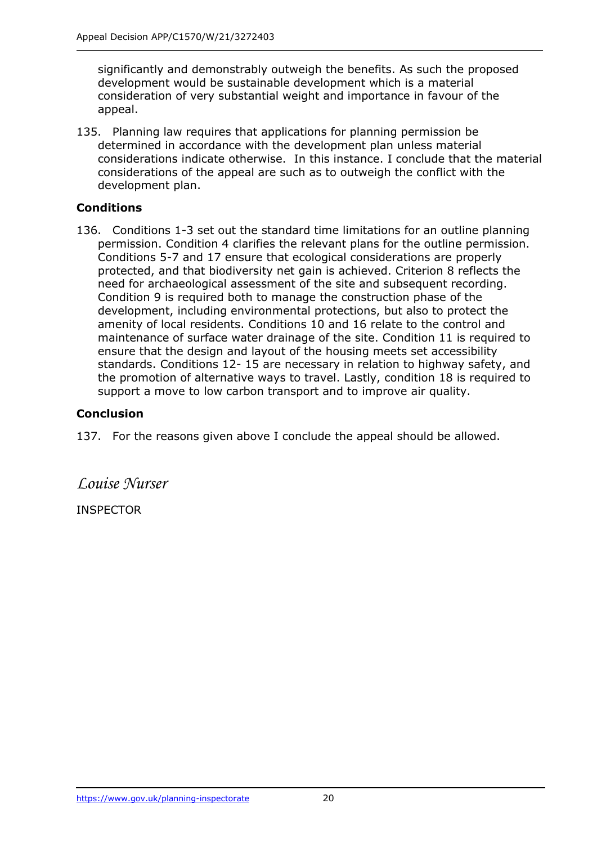significantly and demonstrably outweigh the benefits. As such the proposed development would be sustainable development which is a material consideration of very substantial weight and importance in favour of the appeal.

135. Planning law requires that applications for planning permission be determined in accordance with the development plan unless material considerations indicate otherwise. In this instance. I conclude that the material considerations of the appeal are such as to outweigh the conflict with the development plan.

## **Conditions**

136. Conditions 1-3 set out the standard time limitations for an outline planning permission. Condition 4 clarifies the relevant plans for the outline permission. Conditions 5-7 and 17 ensure that ecological considerations are properly protected, and that biodiversity net gain is achieved. Criterion 8 reflects the need for archaeological assessment of the site and subsequent recording. Condition 9 is required both to manage the construction phase of the development, including environmental protections, but also to protect the amenity of local residents. Conditions 10 and 16 relate to the control and maintenance of surface water drainage of the site. Condition 11 is required to ensure that the design and layout of the housing meets set accessibility standards. Conditions 12- 15 are necessary in relation to highway safety, and the promotion of alternative ways to travel. Lastly, condition 18 is required to support a move to low carbon transport and to improve air quality.

## **Conclusion**

137. For the reasons given above I conclude the appeal should be allowed.

*Louise Nurser*

**INSPECTOR**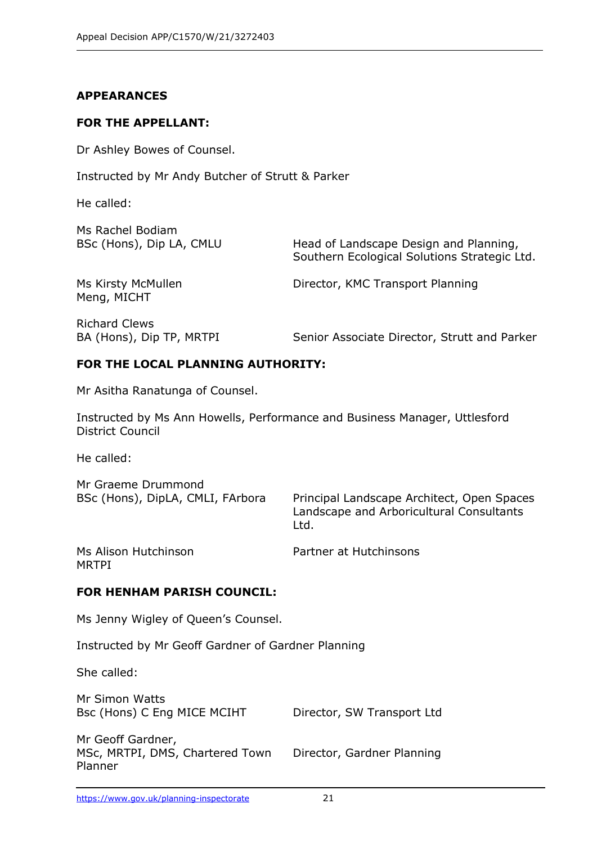#### **APPEARANCES**

#### **FOR THE APPELLANT:**

Dr Ashley Bowes of Counsel.

Instructed by Mr Andy Butcher of Strutt & Parker

He called:

| Ms Rachel Bodiam                                 |                                                                                        |
|--------------------------------------------------|----------------------------------------------------------------------------------------|
| BSc (Hons), Dip LA, CMLU                         | Head of Landscape Design and Planning,<br>Southern Ecological Solutions Strategic Ltd. |
| Ms Kirsty McMullen<br>Meng, MICHT                | Director, KMC Transport Planning                                                       |
| <b>Richard Clews</b><br>BA (Hons), Dip TP, MRTPI | Senior Associate Director, Strutt and Parker                                           |

#### **FOR THE LOCAL PLANNING AUTHORITY:**

Mr Asitha Ranatunga of Counsel.

Instructed by Ms Ann Howells, Performance and Business Manager, Uttlesford District Council

He called:

Mr Graeme Drummond

BSc (Hons), DipLA, CMLI, FArbora Principal Landscape Architect, Open Spaces Landscape and Arboricultural Consultants Ltd.

MRTPI

Ms Alison Hutchinson **Partner at Hutchinsons** 

#### **FOR HENHAM PARISH COUNCIL:**

Ms Jenny Wigley of Queen's Counsel.

Instructed by Mr Geoff Gardner of Gardner Planning

She called:

Mr Simon Watts Bsc (Hons) C Eng MICE MCIHT Director, SW Transport Ltd

Mr Geoff Gardner, MSc, MRTPI, DMS, Chartered Town Director, Gardner Planning Planner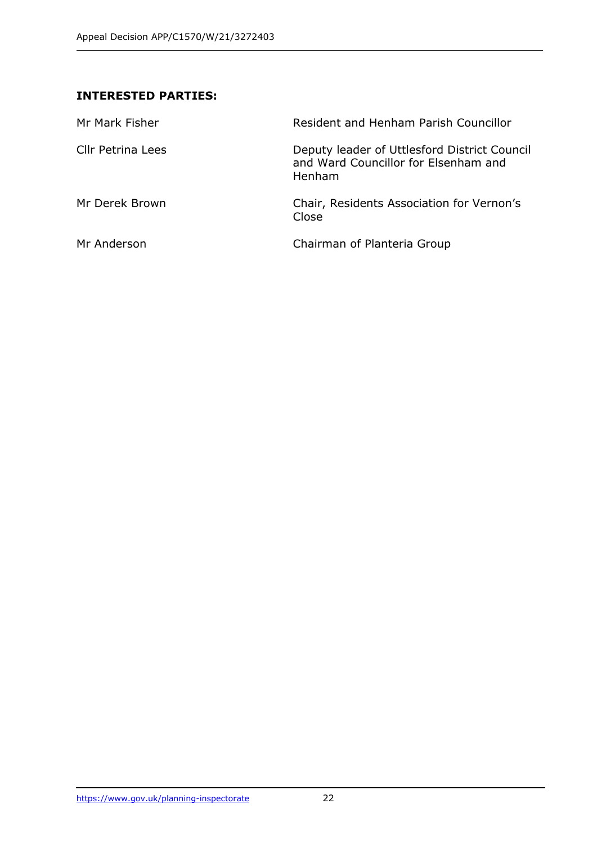## **INTERESTED PARTIES:**

| Mr Mark Fisher           | Resident and Henham Parish Councillor                                                          |
|--------------------------|------------------------------------------------------------------------------------------------|
| <b>Cllr Petrina Lees</b> | Deputy leader of Uttlesford District Council<br>and Ward Councillor for Elsenham and<br>Henham |
| Mr Derek Brown           | Chair, Residents Association for Vernon's<br>Close                                             |
| Mr Anderson              | Chairman of Planteria Group                                                                    |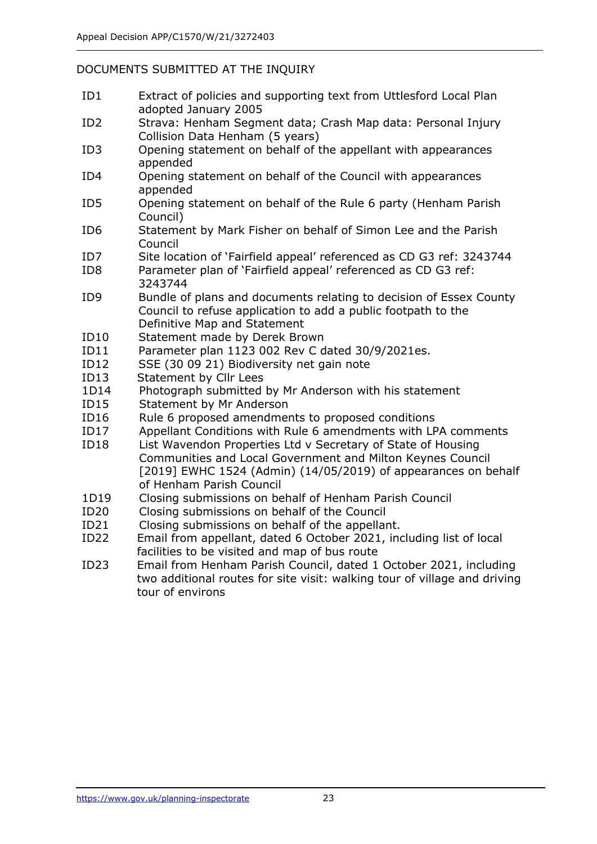#### DOCUMENTS SUBMITTED AT THE INQUIRY

- ID1 Extract of policies and supporting text from Uttlesford Local Plan adopted January 2005
- ID2 Strava: Henham Segment data; Crash Map data: Personal Injury Collision Data Henham (5 years)
- ID3 Opening statement on behalf of the appellant with appearances appended
- ID4 Opening statement on behalf of the Council with appearances appended
- ID5 Opening statement on behalf of the Rule 6 party (Henham Parish Council)
- ID6 Statement by Mark Fisher on behalf of Simon Lee and the Parish Council
- ID7 Site location of 'Fairfield appeal' referenced as CD G3 ref: 3243744
- ID8 Parameter plan of 'Fairfield appeal' referenced as CD G3 ref: 3243744
- ID9 Bundle of plans and documents relating to decision of Essex County Council to refuse application to add a public footpath to the Definitive Map and Statement
- ID10 Statement made by Derek Brown
- ID11 Parameter plan 1123 002 Rev C dated 30/9/2021es.
- ID12 SSE (30 09 21) Biodiversity net gain note
- ID13 Statement by Cllr Lees
- 1D14 Photograph submitted by Mr Anderson with his statement
- ID15 Statement by Mr Anderson
- ID16 Rule 6 proposed amendments to proposed conditions
- ID17 Appellant Conditions with Rule 6 amendments with LPA comments
- ID18 List Wavendon Properties Ltd v Secretary of State of Housing Communities and Local Government and Milton Keynes Council [2019] EWHC 1524 (Admin) (14/05/2019) of appearances on behalf of Henham Parish Council
- 1D19 Closing submissions on behalf of Henham Parish Council
- ID20 Closing submissions on behalf of the Council
- ID21 Closing submissions on behalf of the appellant.
- ID22 Email from appellant, dated 6 October 2021, including list of local facilities to be visited and map of bus route
- ID23 Email from Henham Parish Council, dated 1 October 2021, including two additional routes for site visit: walking tour of village and driving tour of environs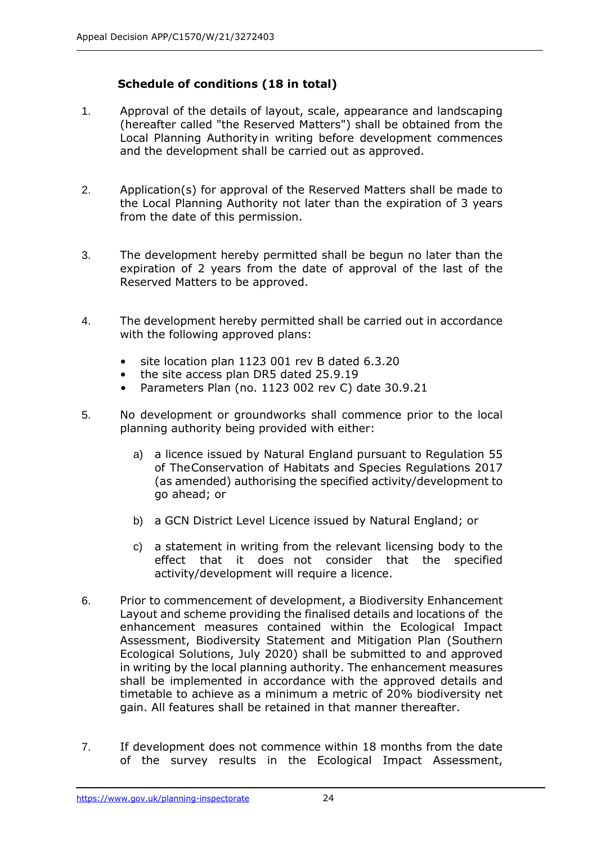## **Schedule of conditions (18 in total)**

- 1. Approval of the details of layout, scale, appearance and landscaping (hereafter called "the Reserved Matters") shall be obtained from the Local Planning Authorityin writing before development commences and the development shall be carried out as approved.
- 2. Application(s) for approval of the Reserved Matters shall be made to the Local Planning Authority not later than the expiration of 3 years from the date of this permission.
- 3. The development hereby permitted shall be begun no later than the expiration of 2 years from the date of approval of the last of the Reserved Matters to be approved.
- 4. The development hereby permitted shall be carried out in accordance with the following approved plans:
	- site location plan 1123 001 rev B dated 6.3.20
	- the site access plan DR5 dated 25.9.19
	- Parameters Plan (no. 1123 002 rev C) date 30.9.21
- 5. No development or groundworks shall commence prior to the local planning authority being provided with either:
	- a) a licence issued by Natural England pursuant to Regulation 55 of TheConservation of Habitats and Species Regulations 2017 (as amended) authorising the specified activity/development to go ahead; or
	- b) a GCN District Level Licence issued by Natural England; or
	- c) a statement in writing from the relevant licensing body to the effect that it does not consider that the specified activity/development will require a licence.
- 6. Prior to commencement of development, a Biodiversity Enhancement Layout and scheme providing the finalised details and locations of the enhancement measures contained within the Ecological Impact Assessment, Biodiversity Statement and Mitigation Plan (Southern Ecological Solutions, July 2020) shall be submitted to and approved in writing by the local planning authority. The enhancement measures shall be implemented in accordance with the approved details and timetable to achieve as a minimum a metric of 20% biodiversity net gain. All features shall be retained in that manner thereafter.
- 7. If development does not commence within 18 months from the date of the survey results in the Ecological Impact Assessment,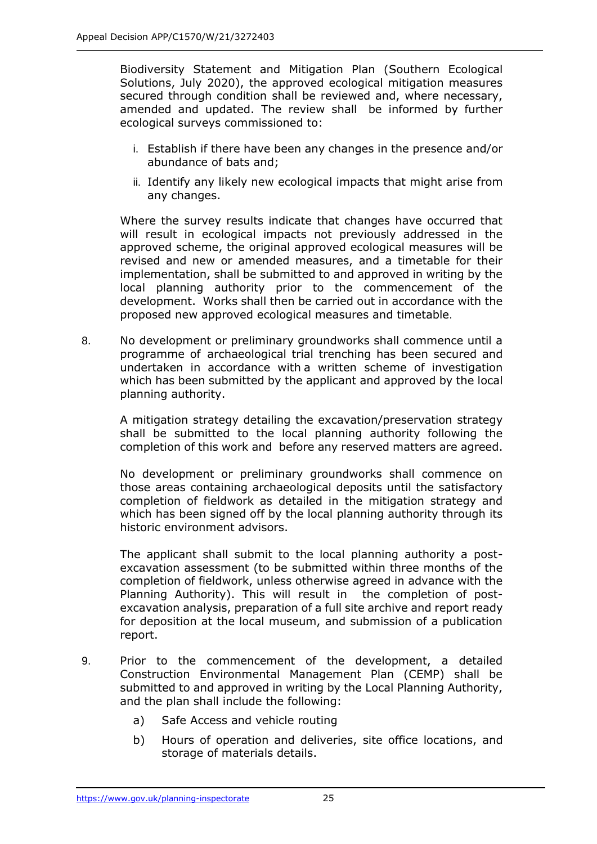Biodiversity Statement and Mitigation Plan (Southern Ecological Solutions, July 2020), the approved ecological mitigation measures secured through condition shall be reviewed and, where necessary, amended and updated. The review shall be informed by further ecological surveys commissioned to:

- i. Establish if there have been any changes in the presence and/or abundance of bats and;
- ii. Identify any likely new ecological impacts that might arise from any changes.

Where the survey results indicate that changes have occurred that will result in ecological impacts not previously addressed in the approved scheme, the original approved ecological measures will be revised and new or amended measures, and a timetable for their implementation, shall be submitted to and approved in writing by the local planning authority prior to the commencement of the development. Works shall then be carried out in accordance with the proposed new approved ecological measures and timetable.

8. No development or preliminary groundworks shall commence until a programme of archaeological trial trenching has been secured and undertaken in accordance with a written scheme of investigation which has been submitted by the applicant and approved by the local planning authority.

A mitigation strategy detailing the excavation/preservation strategy shall be submitted to the local planning authority following the completion of this work and before any reserved matters are agreed.

No development or preliminary groundworks shall commence on those areas containing archaeological deposits until the satisfactory completion of fieldwork as detailed in the mitigation strategy and which has been signed off by the local planning authority through its historic environment advisors.

The applicant shall submit to the local planning authority a postexcavation assessment (to be submitted within three months of the completion of fieldwork, unless otherwise agreed in advance with the Planning Authority). This will result in the completion of postexcavation analysis, preparation of a full site archive and report ready for deposition at the local museum, and submission of a publication report.

- 9. Prior to the commencement of the development, a detailed Construction Environmental Management Plan (CEMP) shall be submitted to and approved in writing by the Local Planning Authority, and the plan shall include the following:
	- a) Safe Access and vehicle routing
	- b) Hours of operation and deliveries, site office locations, and storage of materials details.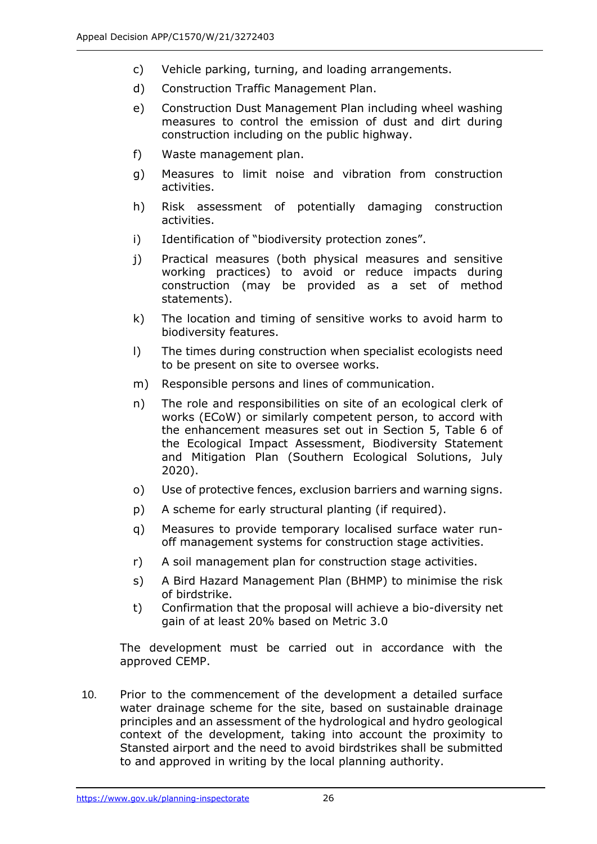- c) Vehicle parking, turning, and loading arrangements.
- d) Construction Traffic Management Plan.
- e) Construction Dust Management Plan including wheel washing measures to control the emission of dust and dirt during construction including on the public highway.
- f) Waste management plan.
- g) Measures to limit noise and vibration from construction activities.
- h) Risk assessment of potentially damaging construction activities.
- i) Identification of "biodiversity protection zones".
- j) Practical measures (both physical measures and sensitive working practices) to avoid or reduce impacts during construction (may be provided as a set of method statements).
- k) The location and timing of sensitive works to avoid harm to biodiversity features.
- l) The times during construction when specialist ecologists need to be present on site to oversee works.
- m) Responsible persons and lines of communication.
- n) The role and responsibilities on site of an ecological clerk of works (ECoW) or similarly competent person, to accord with the enhancement measures set out in Section 5, Table 6 of the Ecological Impact Assessment, Biodiversity Statement and Mitigation Plan (Southern Ecological Solutions, July 2020).
- o) Use of protective fences, exclusion barriers and warning signs.
- p) A scheme for early structural planting (if required).
- q) Measures to provide temporary localised surface water runoff management systems for construction stage activities.
- r) A soil management plan for construction stage activities.
- s) A Bird Hazard Management Plan (BHMP) to minimise the risk of birdstrike.
- t) Confirmation that the proposal will achieve a bio-diversity net gain of at least 20% based on Metric 3.0

The development must be carried out in accordance with the approved CEMP.

10. Prior to the commencement of the development a detailed surface water drainage scheme for the site, based on sustainable drainage principles and an assessment of the hydrological and hydro geological context of the development, taking into account the proximity to Stansted airport and the need to avoid birdstrikes shall be submitted to and approved in writing by the local planning authority.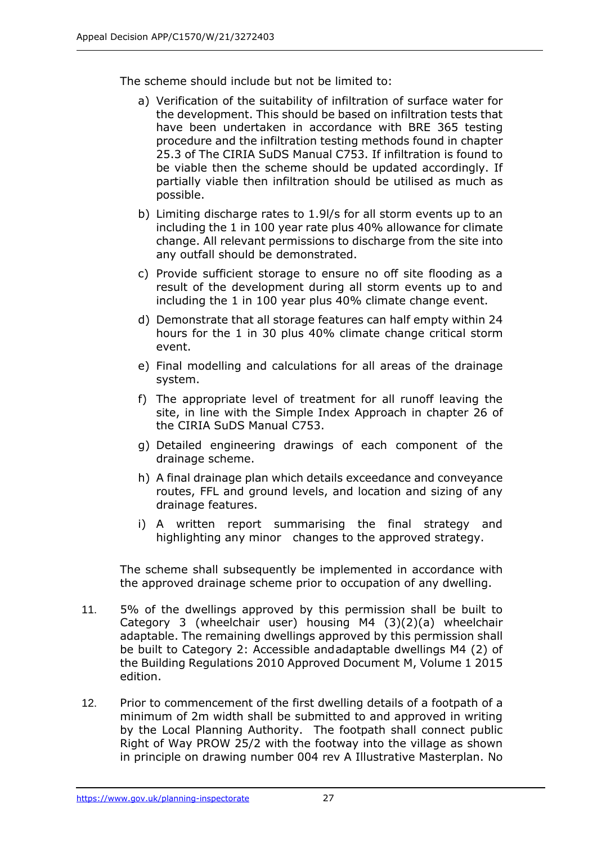The scheme should include but not be limited to:

- a) Verification of the suitability of infiltration of surface water for the development. This should be based on infiltration tests that have been undertaken in accordance with BRE 365 testing procedure and the infiltration testing methods found in chapter 25.3 of The CIRIA SuDS Manual C753. If infiltration is found to be viable then the scheme should be updated accordingly. If partially viable then infiltration should be utilised as much as possible.
- b) Limiting discharge rates to 1.9l/s for all storm events up to an including the 1 in 100 year rate plus 40% allowance for climate change. All relevant permissions to discharge from the site into any outfall should be demonstrated.
- c) Provide sufficient storage to ensure no off site flooding as a result of the development during all storm events up to and including the 1 in 100 year plus 40% climate change event.
- d) Demonstrate that all storage features can half empty within 24 hours for the 1 in 30 plus 40% climate change critical storm event.
- e) Final modelling and calculations for all areas of the drainage system.
- f) The appropriate level of treatment for all runoff leaving the site, in line with the Simple Index Approach in chapter 26 of the CIRIA SuDS Manual C753.
- g) Detailed engineering drawings of each component of the drainage scheme.
- h) A final drainage plan which details exceedance and conveyance routes, FFL and ground levels, and location and sizing of any drainage features.
- i) A written report summarising the final strategy and highlighting any minor changes to the approved strategy.

The scheme shall subsequently be implemented in accordance with the approved drainage scheme prior to occupation of any dwelling.

- 11. 5% of the dwellings approved by this permission shall be built to Category 3 (wheelchair user) housing M4 (3)(2)(a) wheelchair adaptable. The remaining dwellings approved by this permission shall be built to Category 2: Accessible andadaptable dwellings M4 (2) of the Building Regulations 2010 Approved Document M, Volume 1 2015 edition.
- 12. Prior to commencement of the first dwelling details of a footpath of a minimum of 2m width shall be submitted to and approved in writing by the Local Planning Authority. The footpath shall connect public Right of Way PROW 25/2 with the footway into the village as shown in principle on drawing number 004 rev A Illustrative Masterplan. No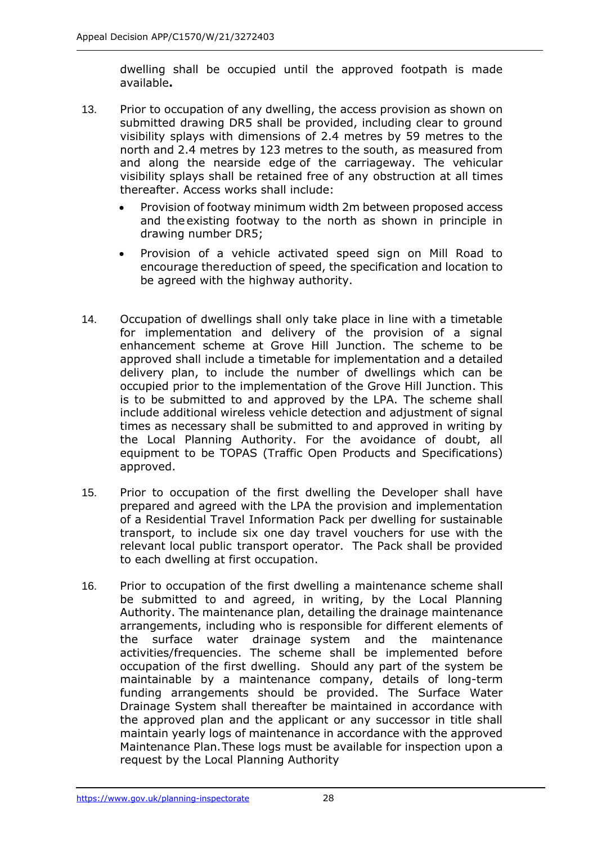dwelling shall be occupied until the approved footpath is made available**.**

- 13. Prior to occupation of any dwelling, the access provision as shown on submitted drawing DR5 shall be provided, including clear to ground visibility splays with dimensions of 2.4 metres by 59 metres to the north and 2.4 metres by 123 metres to the south, as measured from and along the nearside edge of the carriageway. The vehicular visibility splays shall be retained free of any obstruction at all times thereafter. Access works shall include:
	- Provision of footway minimum width 2m between proposed access and the existing footway to the north as shown in principle in drawing number DR5;
	- Provision of a vehicle activated speed sign on Mill Road to encourage thereduction of speed, the specification and location to be agreed with the highway authority.
- 14. Occupation of dwellings shall only take place in line with a timetable for implementation and delivery of the provision of a signal enhancement scheme at Grove Hill Junction. The scheme to be approved shall include a timetable for implementation and a detailed delivery plan, to include the number of dwellings which can be occupied prior to the implementation of the Grove Hill Junction. This is to be submitted to and approved by the LPA. The scheme shall include additional wireless vehicle detection and adjustment of signal times as necessary shall be submitted to and approved in writing by the Local Planning Authority. For the avoidance of doubt, all equipment to be TOPAS (Traffic Open Products and Specifications) approved.
- 15. Prior to occupation of the first dwelling the Developer shall have prepared and agreed with the LPA the provision and implementation of a Residential Travel Information Pack per dwelling for sustainable transport, to include six one day travel vouchers for use with the relevant local public transport operator. The Pack shall be provided to each dwelling at first occupation.
- 16. Prior to occupation of the first dwelling a maintenance scheme shall be submitted to and agreed, in writing, by the Local Planning Authority. The maintenance plan, detailing the drainage maintenance arrangements, including who is responsible for different elements of the surface water drainage system and the maintenance activities/frequencies. The scheme shall be implemented before occupation of the first dwelling. Should any part of the system be maintainable by a maintenance company, details of long-term funding arrangements should be provided. The Surface Water Drainage System shall thereafter be maintained in accordance with the approved plan and the applicant or any successor in title shall maintain yearly logs of maintenance in accordance with the approved Maintenance Plan.These logs must be available for inspection upon a request by the Local Planning Authority